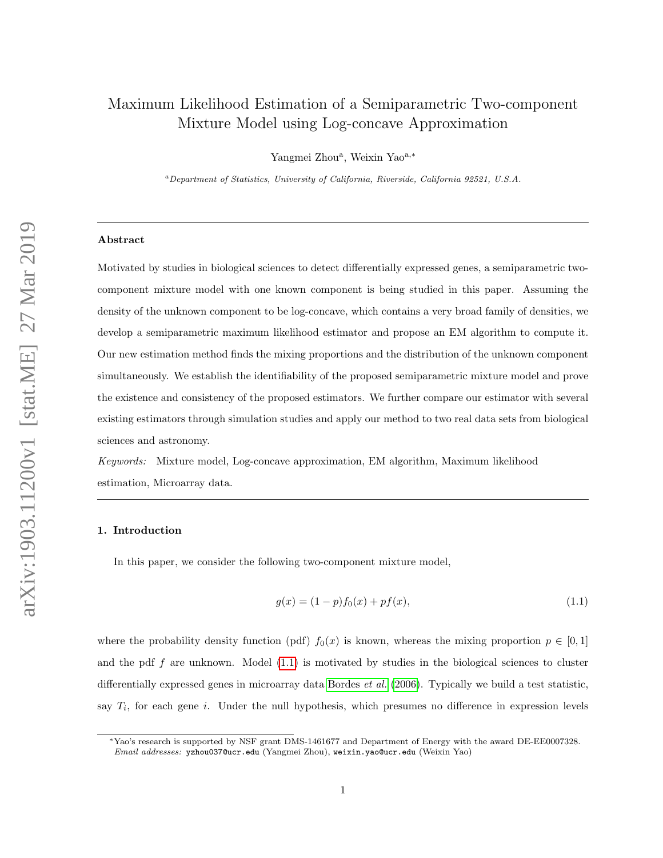# Maximum Likelihood Estimation of a Semiparametric Two-component Mixture Model using Log-concave Approximation

Yangmei Zhou<sup>a</sup>, Weixin Yao<sup>a,\*</sup>

<sup>a</sup>Department of Statistics, University of California, Riverside, California 92521, U.S.A.

#### Abstract

Motivated by studies in biological sciences to detect differentially expressed genes, a semiparametric twocomponent mixture model with one known component is being studied in this paper. Assuming the density of the unknown component to be log-concave, which contains a very broad family of densities, we develop a semiparametric maximum likelihood estimator and propose an EM algorithm to compute it. Our new estimation method finds the mixing proportions and the distribution of the unknown component simultaneously. We establish the identifiability of the proposed semiparametric mixture model and prove the existence and consistency of the proposed estimators. We further compare our estimator with several existing estimators through simulation studies and apply our method to two real data sets from biological sciences and astronomy.

Keywords: Mixture model, Log-concave approximation, EM algorithm, Maximum likelihood estimation, Microarray data.

# 1. Introduction

In this paper, we consider the following two-component mixture model,

<span id="page-0-0"></span>
$$
g(x) = (1 - p)f_0(x) + pf(x),
$$
\n(1.1)

where the probability density function (pdf)  $f_0(x)$  is known, whereas the mixing proportion  $p \in [0,1]$ and the pdf f are unknown. Model  $(1.1)$  is motivated by studies in the biological sciences to cluster differentially expressed genes in microarray data [Bordes](#page-30-0) *et al.* [\(2006\)](#page-30-0). Typically we build a test statistic, say  $T_i$ , for each gene i. Under the null hypothesis, which presumes no difference in expression levels

<sup>∗</sup>Yao's research is supported by NSF grant DMS-1461677 and Department of Energy with the award DE-EE0007328. Email addresses: yzhou037@ucr.edu (Yangmei Zhou), weixin.yao@ucr.edu (Weixin Yao)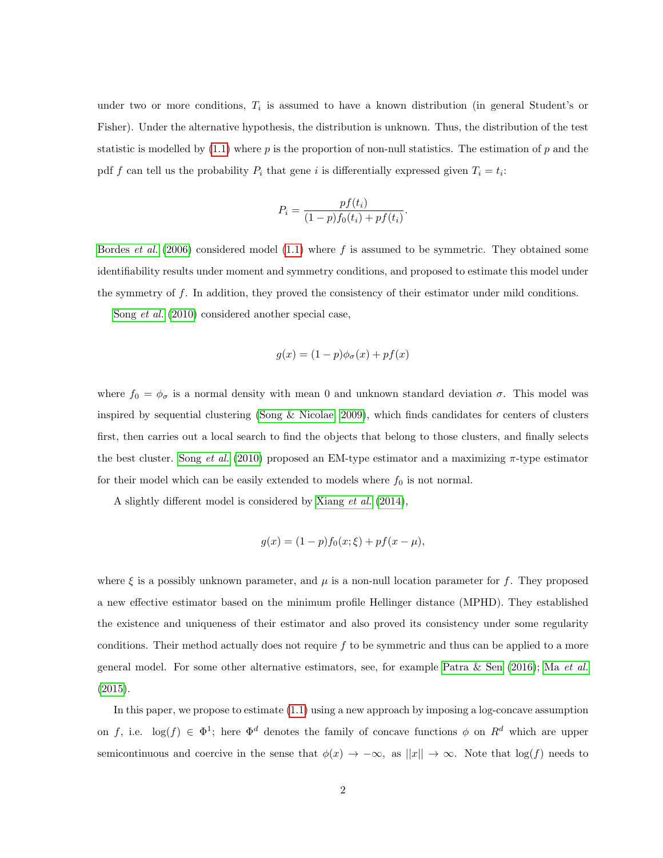under two or more conditions,  $T_i$  is assumed to have a known distribution (in general Student's or Fisher). Under the alternative hypothesis, the distribution is unknown. Thus, the distribution of the test statistic is modelled by  $(1.1)$  where p is the proportion of non-null statistics. The estimation of p and the pdf f can tell us the probability  $P_i$  that gene i is differentially expressed given  $T_i = t_i$ :

$$
P_i = \frac{pf(t_i)}{(1-p)f_0(t_i) + pf(t_i)}
$$

.

[Bordes](#page-30-0) *et al.* [\(2006\)](#page-30-0) considered model [\(1.1\)](#page-0-0) where f is assumed to be symmetric. They obtained some identifiability results under moment and symmetry conditions, and proposed to estimate this model under the symmetry of f. In addition, they proved the consistency of their estimator under mild conditions.

Song [et al.](#page-32-0) [\(2010\)](#page-32-0) considered another special case,

$$
g(x) = (1 - p)\phi_{\sigma}(x) + pf(x)
$$

where  $f_0 = \phi_\sigma$  is a normal density with mean 0 and unknown standard deviation  $\sigma$ . This model was inspired by sequential clustering (Song  $\&$  Nicolae, 2009), which finds candidates for centers of clusters first, then carries out a local search to find the objects that belong to those clusters, and finally selects the best cluster. Song [et al.](#page-32-0)  $(2010)$  proposed an EM-type estimator and a maximizing  $\pi$ -type estimator for their model which can be easily extended to models where  $f_0$  is not normal.

A slightly different model is considered by [Xiang](#page-32-2) et al. [\(2014\)](#page-32-2),

$$
g(x) = (1 - p)f_0(x; \xi) + pf(x - \mu),
$$

where  $\xi$  is a possibly unknown parameter, and  $\mu$  is a non-null location parameter for f. They proposed a new effective estimator based on the minimum profile Hellinger distance (MPHD). They established the existence and uniqueness of their estimator and also proved its consistency under some regularity conditions. Their method actually does not require  $f$  to be symmetric and thus can be applied to a more general model. For some other alternative estimators, see, for example [Patra & Sen \(2016\)](#page-31-0); Ma [et al.](#page-31-1) [\(2015\)](#page-31-1).

In this paper, we propose to estimate [\(1.1\)](#page-0-0) using a new approach by imposing a log-concave assumption on f, i.e.  $\log(f) \in \Phi^1$ ; here  $\Phi^d$  denotes the family of concave functions  $\phi$  on  $R^d$  which are upper semicontinuous and coercive in the sense that  $\phi(x) \to -\infty$ , as  $||x|| \to \infty$ . Note that log(f) needs to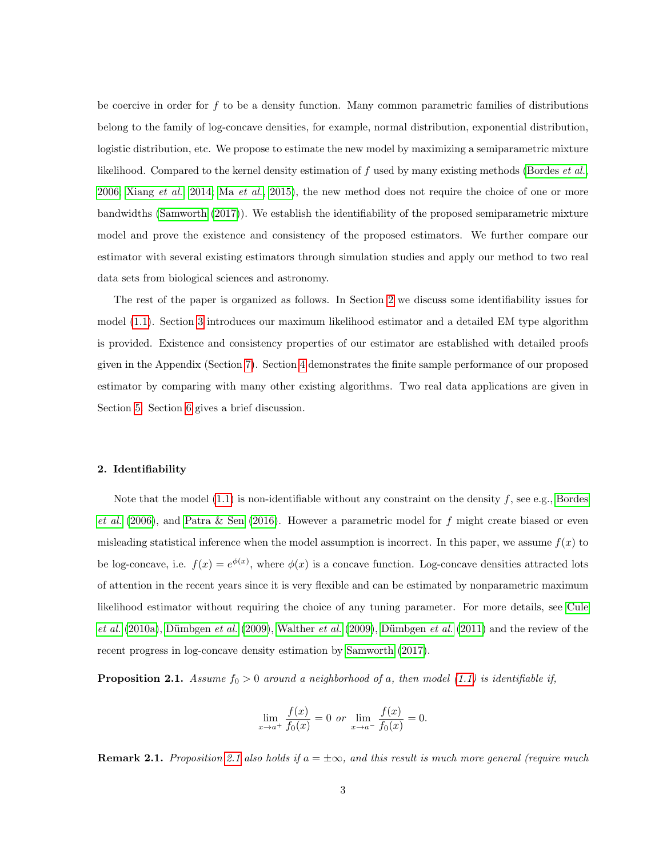be coercive in order for  $f$  to be a density function. Many common parametric families of distributions belong to the family of log-concave densities, for example, normal distribution, exponential distribution, logistic distribution, etc. We propose to estimate the new model by maximizing a semiparametric mixture likelihood. Compared to the kernel density estimation of f used by many existing methods [\(Bordes](#page-30-0) *et al.*, [2006;](#page-30-0) [Xiang](#page-32-2) et al., [2014;](#page-32-2) Ma [et al.](#page-31-1), [2015\)](#page-31-1), the new method does not require the choice of one or more bandwidths [\(Samworth \(2017\)](#page-31-2)). We establish the identifiability of the proposed semiparametric mixture model and prove the existence and consistency of the proposed estimators. We further compare our estimator with several existing estimators through simulation studies and apply our method to two real data sets from biological sciences and astronomy.

The rest of the paper is organized as follows. In Section [2](#page-2-0) we discuss some identifiability issues for model [\(1.1\)](#page-0-0). Section [3](#page-4-0) introduces our maximum likelihood estimator and a detailed EM type algorithm is provided. Existence and consistency properties of our estimator are established with detailed proofs given in the Appendix (Section [7\)](#page-17-0). Section [4](#page-8-0) demonstrates the finite sample performance of our proposed estimator by comparing with many other existing algorithms. Two real data applications are given in Section [5.](#page-13-0) Section [6](#page-16-0) gives a brief discussion.

#### <span id="page-2-0"></span>2. Identifiability

Note that the model  $(1.1)$  is non-identifiable without any constraint on the density  $f$ , see e.g., [Bordes](#page-30-0) [et al.](#page-30-0) [\(2006\)](#page-30-0), and [Patra & Sen \(2016\)](#page-31-0). However a parametric model for f might create biased or even misleading statistical inference when the model assumption is incorrect. In this paper, we assume  $f(x)$  to be log-concave, i.e.  $f(x) = e^{\phi(x)}$ , where  $\phi(x)$  is a concave function. Log-concave densities attracted lots of attention in the recent years since it is very flexible and can be estimated by nonparametric maximum likelihood estimator without requiring the choice of any tuning parameter. For more details, see [Cule](#page-30-1) [et al.](#page-30-1)  $(2010a)$ , Dümbgen et al.  $(2009)$ , [Walther](#page-32-3) et al.  $(2009)$ , Dümbgen et al.  $(2011)$  and the review of the recent progress in log-concave density estimation by [Samworth \(2017\)](#page-31-2).

<span id="page-2-1"></span>**Proposition 2.1.** Assume  $f_0 > 0$  around a neighborhood of a, then model [\(1.1\)](#page-0-0) is identifiable if,

$$
\lim_{x \to a^{+}} \frac{f(x)}{f_0(x)} = 0 \text{ or } \lim_{x \to a^{-}} \frac{f(x)}{f_0(x)} = 0.
$$

**Remark [2.1](#page-2-1).** Proposition 2.1 also holds if  $a = \pm \infty$ , and this result is much more general (require much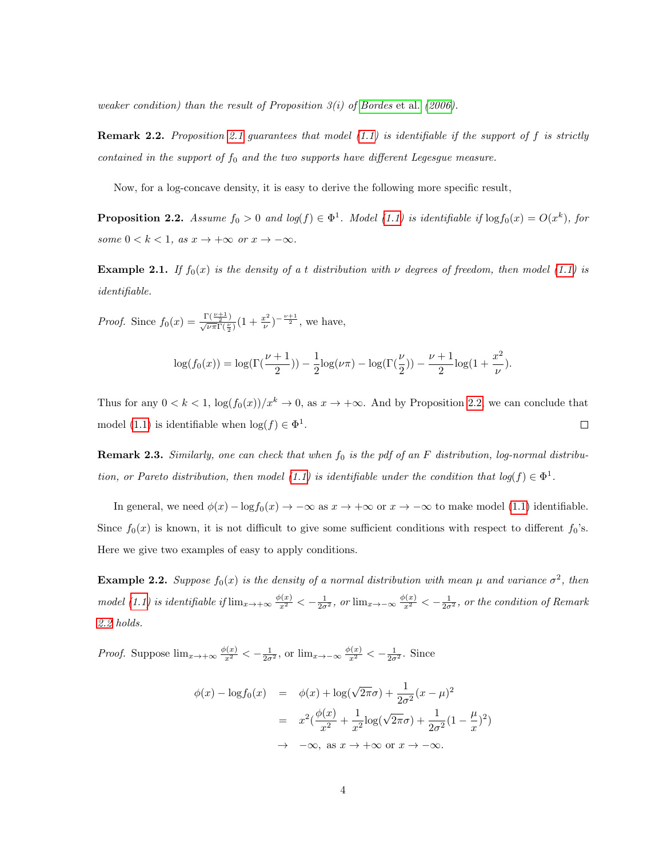weaker condition) than the result of Proposition  $3(i)$  of [Bordes](#page-30-0) et al. [\(2006\)](#page-30-0).

<span id="page-3-1"></span>**Remark 2.2.** Proposition [2.1](#page-2-1) guarantees that model  $(1.1)$  is identifiable if the support of f is strictly contained in the support of  $f_0$  and the two supports have different Legesgue measure.

Now, for a log-concave density, it is easy to derive the following more specific result,

<span id="page-3-0"></span>**Proposition 2.2.** Assume  $f_0 > 0$  and  $log(f) \in \Phi^1$ . Model [\(1.1\)](#page-0-0) is identifiable if  $log f_0(x) = O(x^k)$ , for some  $0 < k < 1$ , as  $x \to +\infty$  or  $x \to -\infty$ .

**Example 2.1.** If  $f_0(x)$  is the density of a t distribution with  $\nu$  degrees of freedom, then model [\(1.1\)](#page-0-0) is identifiable.

*Proof.* Since  $f_0(x) = \frac{\Gamma(\frac{\nu+1}{2})}{\sqrt{\nu \pi} \Gamma(\frac{\nu}{2})} (1 + \frac{x^2}{\nu})$  $(\frac{v^2}{\nu})^{-\frac{\nu+1}{2}},$  we have,

$$
\log(f_0(x)) = \log(\Gamma(\frac{\nu+1}{2})) - \frac{1}{2}\log(\nu\pi) - \log(\Gamma(\frac{\nu}{2})) - \frac{\nu+1}{2}\log(1+\frac{x^2}{\nu}).
$$

Thus for any  $0 < k < 1$ ,  $\log(f_0(x))/x^k \to 0$ , as  $x \to +\infty$ . And by Proposition [2.2,](#page-3-0) we can conclude that model [\(1.1\)](#page-0-0) is identifiable when  $\log(f) \in \Phi^1$ .  $\Box$ 

**Remark 2.3.** Similarly, one can check that when  $f_0$  is the pdf of an F distribution, log-normal distribu-tion, or Pareto distribution, then model [\(1.1\)](#page-0-0) is identifiable under the condition that  $log(f) \in \Phi^1$ .

In general, we need  $\phi(x) - \log f_0(x) \to -\infty$  as  $x \to +\infty$  or  $x \to -\infty$  to make model [\(1.1\)](#page-0-0) identifiable. Since  $f_0(x)$  is known, it is not difficult to give some sufficient conditions with respect to different  $f_0$ 's. Here we give two examples of easy to apply conditions.

<span id="page-3-2"></span>**Example 2.2.** Suppose  $f_0(x)$  is the density of a normal distribution with mean  $\mu$  and variance  $\sigma^2$ , then model [\(1.1\)](#page-0-0) is identifiable if  $\lim_{x\to+\infty}\frac{\phi(x)}{x^2}<-\frac{1}{2\sigma^2}$ , or  $\lim_{x\to-\infty}\frac{\phi(x)}{x^2}<-\frac{1}{2\sigma^2}$ , or the condition of Remark [2.2](#page-3-1) holds.

*Proof.* Suppose  $\lim_{x\to+\infty}\frac{\phi(x)}{x^2}<-\frac{1}{2\sigma^2}$ , or  $\lim_{x\to-\infty}\frac{\phi(x)}{x^2}<-\frac{1}{2\sigma^2}$ . Since

$$
\phi(x) - \log f_0(x) = \phi(x) + \log(\sqrt{2\pi}\sigma) + \frac{1}{2\sigma^2}(x - \mu)^2
$$

$$
= x^2(\frac{\phi(x)}{x^2} + \frac{1}{x^2}\log(\sqrt{2\pi}\sigma) + \frac{1}{2\sigma^2}(1 - \frac{\mu}{x})^2)
$$

$$
\to -\infty, \text{ as } x \to +\infty \text{ or } x \to -\infty.
$$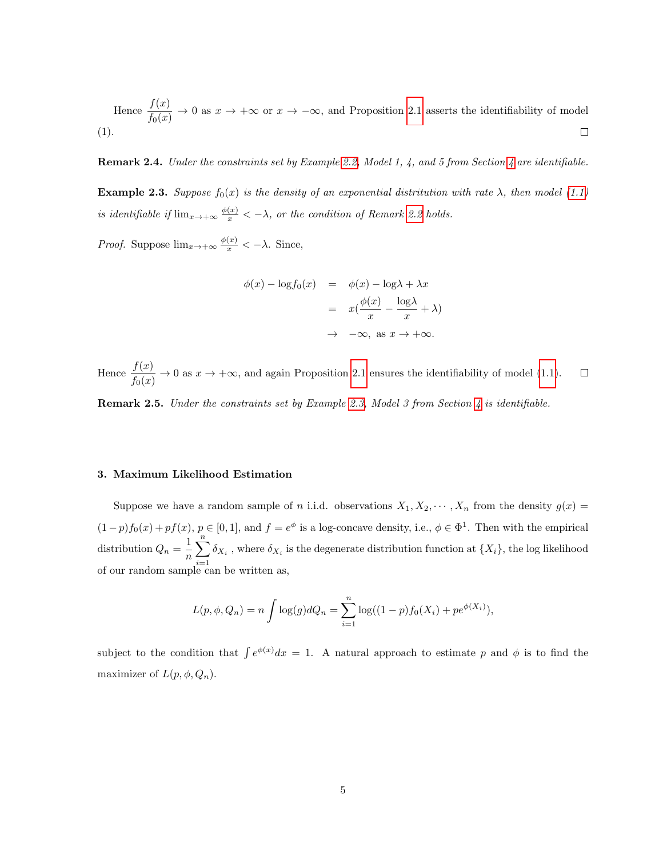Hence  $\frac{f(x)}{f_0(x)} \to 0$  as  $x \to +\infty$  or  $x \to -\infty$ , and Proposition [2.1](#page-2-1) asserts the identifiability of model (1).  $\Box$ 

**Remark 2.4.** Under the constraints set by Example [2.2,](#page-3-2) Model 1, [4](#page-8-0), and 5 from Section 4 are identifiable.

<span id="page-4-1"></span>**Example 2.3.** Suppose  $f_0(x)$  is the density of an exponential distritution with rate  $\lambda$ , then model [\(1.1\)](#page-0-0) is identifiable if  $\lim_{x\to+\infty}\frac{\phi(x)}{x} < -\lambda$ , or the condition of Remark [2.2](#page-3-1) holds.

*Proof.* Suppose  $\lim_{x \to +\infty} \frac{\phi(x)}{x} < -\lambda$ . Since,

$$
\phi(x) - \log f_0(x) = \phi(x) - \log \lambda + \lambda x
$$

$$
= x(\frac{\phi(x)}{x} - \frac{\log \lambda}{x} + \lambda)
$$

$$
\to -\infty, \text{ as } x \to +\infty.
$$

Hence  $\frac{f(x)}{f_0(x)} \to 0$  as  $x \to +\infty$ , and again Proposition [2.1](#page-2-1) ensures the identifiability of model [\(1.1\)](#page-0-0).  $\Box$ 

**Remark 2.5.** Under the constraints set by Example [2.3,](#page-4-1) Model 3 from Section [4](#page-8-0) is identifiable.

#### <span id="page-4-0"></span>3. Maximum Likelihood Estimation

Suppose we have a random sample of n i.i.d. observations  $X_1, X_2, \cdots, X_n$  from the density  $g(x)$  $(1-p)f_0(x)+pf(x), p\in [0,1],$  and  $f=e^{\phi}$  is a log-concave density, i.e.,  $\phi\in \Phi^1$ . Then with the empirical distribution  $Q_n = \frac{1}{n}$ n  $\sum_{n=1}^{\infty}$  $i=1$  $\delta_{X_i}$ , where  $\delta_{X_i}$  is the degenerate distribution function at  $\{X_i\}$ , the log likelihood of our random sample can be written as,

$$
L(p, \phi, Q_n) = n \int \log(g) dQ_n = \sum_{i=1}^n \log((1-p)f_0(X_i) + pe^{\phi(X_i)}),
$$

subject to the condition that  $\int e^{\phi(x)}dx = 1$ . A natural approach to estimate p and  $\phi$  is to find the maximizer of  $L(p, \phi, Q_n)$ .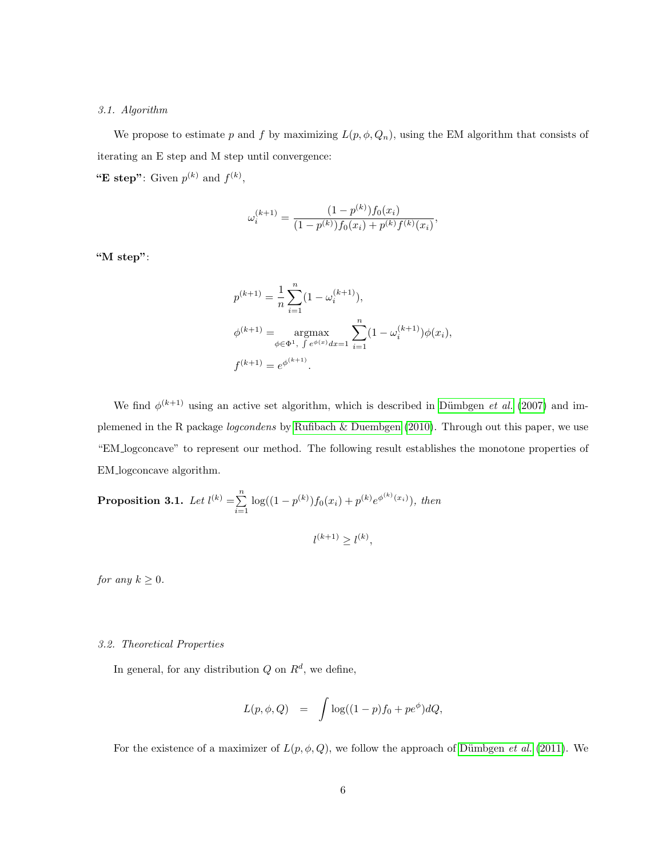## 3.1. Algorithm

We propose to estimate p and f by maximizing  $L(p, \phi, Q_n)$ , using the EM algorithm that consists of iterating an E step and M step until convergence: "E step": Given  $p^{(k)}$  and  $f^{(k)}$ ,

$$
\omega_i^{(k+1)} = \frac{(1-p^{(k)})f_0(x_i)}{(1-p^{(k)})f_0(x_i) + p^{(k)}f^{(k)}(x_i)},
$$

"M step":

$$
p^{(k+1)} = \frac{1}{n} \sum_{i=1}^{n} (1 - \omega_i^{(k+1)}),
$$
  
\n
$$
\phi^{(k+1)} = \underset{\phi \in \Phi^1, \ \int e^{\phi(x)} dx = 1}{\operatorname{argmax}} \sum_{i=1}^{n} (1 - \omega_i^{(k+1)}) \phi(x_i),
$$
  
\n
$$
f^{(k+1)} = e^{\phi^{(k+1)}}.
$$

We find  $\phi^{(k+1)}$  using an active set algorithm, which is described in Dümbgen *et al.* [\(2007\)](#page-31-5) and implemened in the R package logcondens by [Rufibach & Duembgen \(2010\)](#page-31-6). Through out this paper, we use "EM logconcave" to represent our method. The following result establishes the monotone properties of EM logconcave algorithm.

**Proposition 3.1.** Let 
$$
l^{(k)} = \sum_{i=1}^{n} \log((1 - p^{(k)}) f_0(x_i) + p^{(k)} e^{\phi^{(k)}(x_i)})
$$
, then  

$$
l^{(k+1)} \ge l^{(k)},
$$

for any  $k \geq 0$ .

# 3.2. Theoretical Properties

In general, for any distribution  $Q$  on  $R^d$ , we define,

$$
L(p, \phi, Q) = \int \log((1-p)f_0 + pe^{\phi})dQ,
$$

For the existence of a maximizer of  $L(p, \phi, Q)$ , we follow the approach of Dümbgen *et al.* [\(2011\)](#page-31-4). We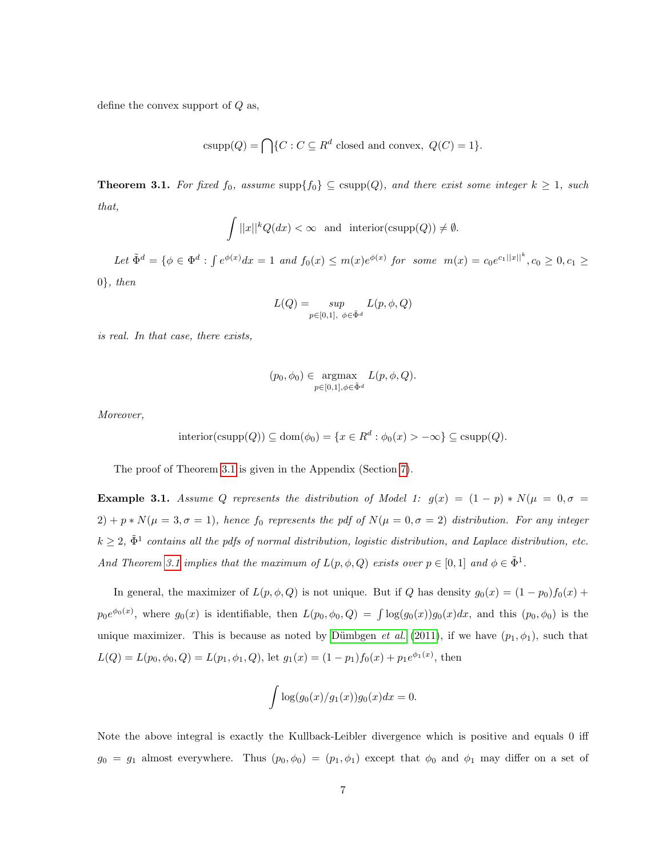define the convex support of  $Q$  as,

csupp $(Q) = \bigcap \{C : C \subseteq R^d \text{ closed and convex}, Q(C) = 1\}.$ 

<span id="page-6-0"></span>**Theorem 3.1.** For fixed  $f_0$ , assume supp $\{f_0\} \subseteq \text{csupp}(Q)$ , and there exist some integer  $k \geq 1$ , such that,

$$
\int ||x||^k Q(dx) < \infty \quad \text{and} \quad \text{interior}(\text{csupp}(Q)) \neq \emptyset.
$$

Let  $\tilde{\Phi}^d = \{ \phi \in \Phi^d : \int e^{\phi(x)} dx = 1 \text{ and } f_0(x) \leq m(x)e^{\phi(x)} \text{ for some } m(x) = c_0 e^{c_1 ||x||^k}, c_0 \geq 0, c_1 \geq 0 \}$  $0\}$ , then

$$
L(Q)=\sup_{p\in[0,1],\ \phi\in\tilde{\Phi}^d}L(p,\phi,Q)
$$

is real. In that case, there exists,

$$
(p_0, \phi_0) \in \underset{p \in [0,1], \phi \in \tilde{\Phi}^d}{\text{argmax}} L(p, \phi, Q).
$$

Moreover,

$$
interior(csupp(Q)) \subseteq dom(\phi_0) = \{x \in R^d : \phi_0(x) > -\infty\} \subseteq csupp(Q).
$$

The proof of Theorem [3.1](#page-6-0) is given in the Appendix (Section [7\)](#page-17-0).

**Example 3.1.** Assume Q represents the distribution of Model 1:  $g(x) = (1 - p) * N(\mu = 0, \sigma =$ 2) + p \*  $N(\mu = 3, \sigma = 1)$ , hence  $f_0$  represents the pdf of  $N(\mu = 0, \sigma = 2)$  distribution. For any integer  $k \geq 2$ ,  $\tilde{\Phi}^1$  contains all the pdfs of normal distribution, logistic distribution, and Laplace distribution, etc. And Theorem [3.1](#page-6-0) implies that the maximum of  $L(p, \phi, Q)$  exists over  $p \in [0, 1]$  and  $\phi \in \tilde{\Phi}^1$ .

In general, the maximizer of  $L(p, \phi, Q)$  is not unique. But if Q has density  $g_0(x) = (1 - p_0) f_0(x) +$  $p_0e^{\phi_0(x)}$ , where  $g_0(x)$  is identifiable, then  $L(p_0, \phi_0, Q) = \int \log(g_0(x))g_0(x)dx$ , and this  $(p_0, \phi_0)$  is the unique maximizer. This is because as noted by Dümbgen et al. [\(2011\)](#page-31-4), if we have  $(p_1, \phi_1)$ , such that  $L(Q) = L(p_0, \phi_0, Q) = L(p_1, \phi_1, Q)$ , let  $g_1(x) = (1 - p_1) f_0(x) + p_1 e^{\phi_1(x)}$ , then

$$
\int \log(g_0(x)/g_1(x))g_0(x)dx = 0.
$$

Note the above integral is exactly the Kullback-Leibler divergence which is positive and equals 0 iff  $g_0 = g_1$  almost everywhere. Thus  $(p_0, \phi_0) = (p_1, \phi_1)$  except that  $\phi_0$  and  $\phi_1$  may differ on a set of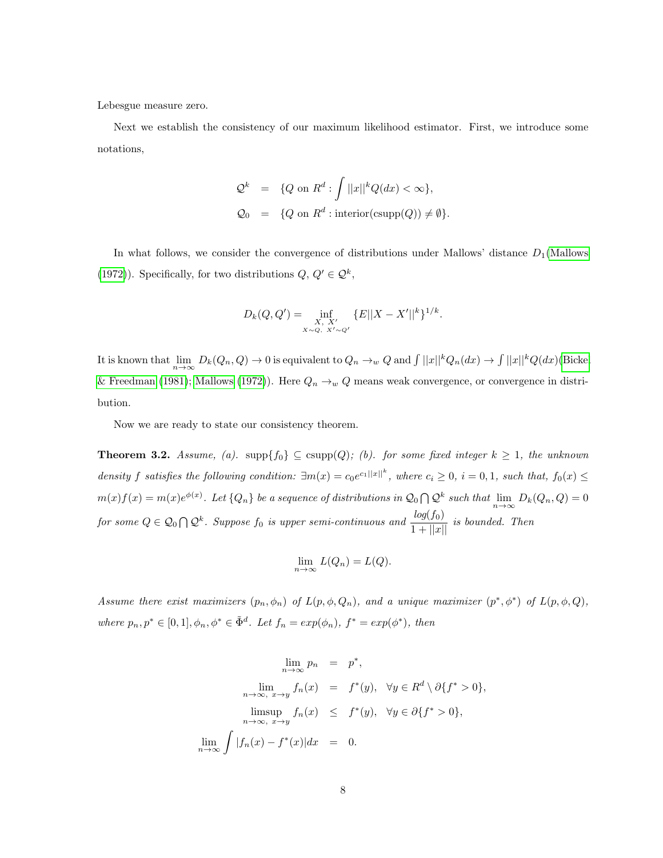Lebesgue measure zero.

Next we establish the consistency of our maximum likelihood estimator. First, we introduce some notations,

$$
\begin{array}{rcl}\n\mathcal{Q}^k & = & \{Q \text{ on } R^d : \int ||x||^k Q(dx) < \infty\}, \\
\mathcal{Q}_0 & = & \{Q \text{ on } R^d : \text{interior}(\text{csupp}(Q)) \neq \emptyset\}.\n\end{array}
$$

In what follows, we consider the convergence of distributions under Mallows' distance  $D_1(\text{Mallows})$ [\(1972\)](#page-31-7)). Specifically, for two distributions  $Q, Q' \in \mathcal{Q}^k$ ,

$$
D_k(Q, Q') = \inf_{\substack{X, X' \\ X \sim Q, \ X' \sim Q'}} \{E||X - X'||^k\}^{1/k}.
$$

It is known that  $\lim_{n\to\infty} D_k(Q_n, Q) \to 0$  is equivalent to  $Q_n \to_w Q$  and  $\int ||x||^k Q_n(dx) \to \int ||x||^k Q(dx)$  [\(Bickel](#page-30-2) [& Freedman \(1981\)](#page-30-2); [Mallows \(1972\)](#page-31-7)). Here  $Q_n \to_w Q$  means weak convergence, or convergence in distribution.

Now we are ready to state our consistency theorem.

<span id="page-7-0"></span>**Theorem 3.2.** Assume, (a).  $\text{supp}\{f_0\} \subseteq \text{supp}(Q)$ ; (b). for some fixed integer  $k \geq 1$ , the unknown density f satisfies the following condition:  $\exists m(x) = c_0 e^{c_1 ||x||^k}$ , where  $c_i \geq 0$ ,  $i = 0, 1$ , such that,  $f_0(x) \leq$  $m(x)f(x) = m(x)e^{\phi(x)}$ . Let  $\{Q_n\}$  be a sequence of distributions in  $\mathcal{Q}_0 \bigcap \mathcal{Q}^k$  such that  $\lim_{n\to\infty} D_k(Q_n, Q) = 0$ for some  $Q \in \mathcal{Q}_0 \cap \mathcal{Q}^k$ . Suppose  $f_0$  is upper semi-continuous and  $\frac{log(f_0)}{1 + ||x||}$  is bounded. Then

$$
\lim_{n \to \infty} L(Q_n) = L(Q).
$$

Assume there exist maximizers  $(p_n, \phi_n)$  of  $L(p, \phi, Q_n)$ , and a unique maximizer  $(p^*, \phi^*)$  of  $L(p, \phi, Q)$ , where  $p_n, p^* \in [0,1], \phi_n, \phi^* \in \tilde{\Phi}^d$ . Let  $f_n = exp(\phi_n)$ ,  $f^* = exp(\phi^*)$ , then

$$
\lim_{n \to \infty} p_n = p^*,
$$
  
\n
$$
\lim_{n \to \infty, x \to y} f_n(x) = f^*(y), \quad \forall y \in R^d \setminus \partial \{f^* > 0\},
$$
  
\n
$$
\lim_{n \to \infty, x \to y} f_n(x) \leq f^*(y), \quad \forall y \in \partial \{f^* > 0\},
$$
  
\n
$$
\lim_{n \to \infty} \int |f_n(x) - f^*(x)| dx = 0.
$$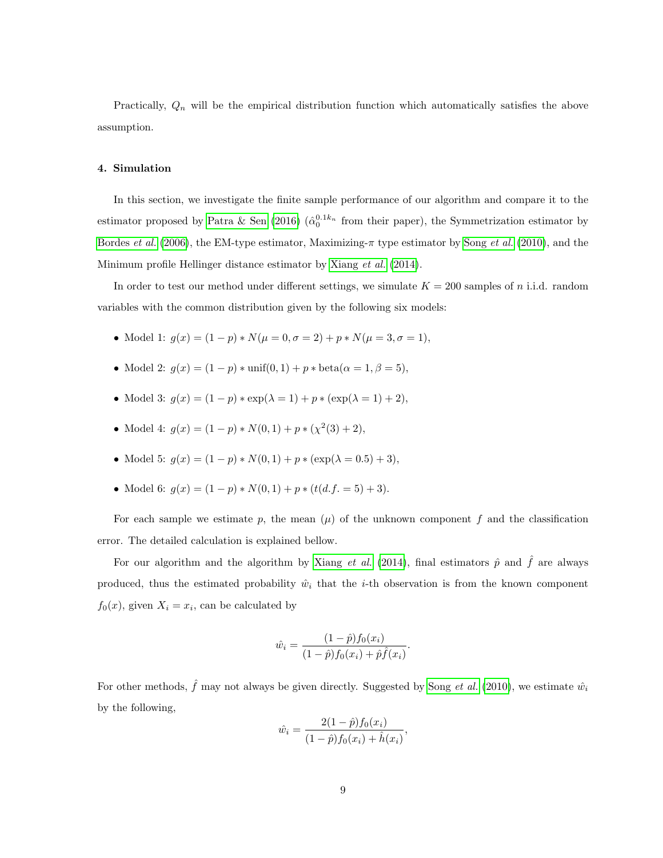Practically,  $Q_n$  will be the empirical distribution function which automatically satisfies the above assumption.

## <span id="page-8-0"></span>4. Simulation

In this section, we investigate the finite sample performance of our algorithm and compare it to the estimator proposed by [Patra & Sen \(2016\)](#page-31-0)  $(\hat{\alpha}_0^{0.1k_n})$  from their paper), the Symmetrization estimator by [Bordes](#page-30-0) et al. [\(2006\)](#page-30-0), the EM-type estimator, Maximizing- $\pi$  type estimator by Song [et al.](#page-32-0) [\(2010\)](#page-32-0), and the Minimum profile Hellinger distance estimator by [Xiang](#page-32-2) et al. [\(2014\)](#page-32-2).

In order to test our method under different settings, we simulate  $K = 200$  samples of n i.i.d. random variables with the common distribution given by the following six models:

- Model 1:  $g(x) = (1-p) * N(\mu = 0, \sigma = 2) + p * N(\mu = 3, \sigma = 1),$
- Model 2:  $g(x) = (1 p) * \text{unif}(0, 1) + p * \text{beta}(\alpha = 1, \beta = 5)$ ,
- Model 3:  $g(x) = (1 p) * \exp(\lambda = 1) + p * (\exp(\lambda = 1) + 2),$
- Model 4:  $g(x) = (1-p) * N(0, 1) + p * (\chi^2(3) + 2),$
- Model 5:  $g(x) = (1-p) * N(0, 1) + p * (\exp(\lambda = 0.5) + 3),$
- Model 6:  $g(x) = (1-p) * N(0, 1) + p * (t(d.f. = 5) + 3).$

For each sample we estimate p, the mean  $(\mu)$  of the unknown component f and the classification error. The detailed calculation is explained bellow.

For our algorithm and the algorithm by [Xiang](#page-32-2) *et al.* [\(2014\)](#page-32-2), final estimators  $\hat{p}$  and  $\hat{f}$  are always produced, thus the estimated probability  $\hat{w}_i$  that the *i*-th observation is from the known component  $f_0(x)$ , given  $X_i = x_i$ , can be calculated by

$$
\hat{w}_i = \frac{(1-\hat{p})f_0(x_i)}{(1-\hat{p})f_0(x_i) + \hat{p}\hat{f}(x_i)}.
$$

For other methods,  $\hat{f}$  may not always be given directly. Suggested by Song *[et al.](#page-32-0)* [\(2010\)](#page-32-0), we estimate  $\hat{w}_i$ by the following,

$$
\hat{w}_i = \frac{2(1-\hat{p})f_0(x_i)}{(1-\hat{p})f_0(x_i) + \hat{h}(x_i)},
$$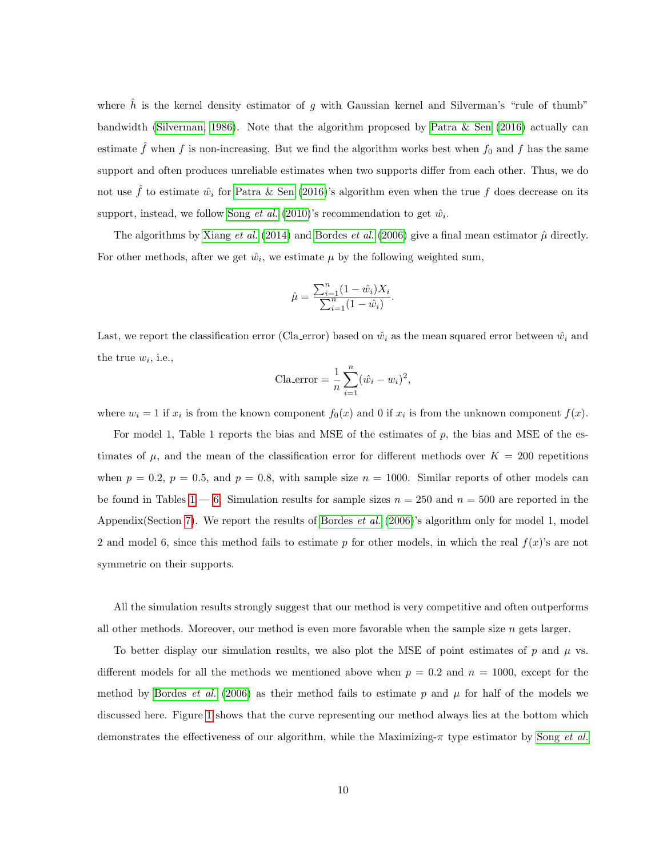where  $\hat{h}$  is the kernel density estimator of g with Gaussian kernel and Silverman's "rule of thumb" bandwidth [\(Silverman, 1986\)](#page-32-4). Note that the algorithm proposed by [Patra & Sen \(2016\)](#page-31-0) actually can estimate  $\hat{f}$  when f is non-increasing. But we find the algorithm works best when  $f_0$  and f has the same support and often produces unreliable estimates when two supports differ from each other. Thus, we do not use  $\hat{f}$  to estimate  $\hat{w}_i$  for [Patra & Sen \(2016\)](#page-31-0)'s algorithm even when the true f does decrease on its support, instead, we follow [Song](#page-32-0) *et al.* [\(2010\)](#page-32-0)'s recommendation to get  $\hat{w}_i$ .

The algorithms by [Xiang](#page-32-2) et al. [\(2014\)](#page-32-2) and [Bordes](#page-30-0) et al. [\(2006\)](#page-30-0) give a final mean estimator  $\hat{\mu}$  directly. For other methods, after we get  $\hat{w}_i$ , we estimate  $\mu$  by the following weighted sum,

$$
\hat{\mu} = \frac{\sum_{i=1}^{n} (1 - \hat{w}_i) X_i}{\sum_{i=1}^{n} (1 - \hat{w}_i)}.
$$

Last, we report the classification error (Cla error) based on  $\hat{w}_i$  as the mean squared error between  $\hat{w}_i$  and the true  $w_i$ , i.e.,

$$
Cla_error = \frac{1}{n} \sum_{i=1}^{n} (\hat{w}_i - w_i)^2,
$$

where  $w_i = 1$  if  $x_i$  is from the known component  $f_0(x)$  and 0 if  $x_i$  is from the unknown component  $f(x)$ .

For model 1, Table 1 reports the bias and MSE of the estimates of  $p$ , the bias and MSE of the estimates of  $\mu$ , and the mean of the classification error for different methods over  $K = 200$  repetitions when  $p = 0.2$ ,  $p = 0.5$ , and  $p = 0.8$ , with sample size  $n = 1000$ . Similar reports of other models can be found in Tables  $1 - 6$ . Simulation results for sample sizes  $n = 250$  and  $n = 500$  are reported in the Appendix(Section [7\)](#page-17-0). We report the results of [Bordes](#page-30-0) *et al.* [\(2006\)](#page-30-0)'s algorithm only for model 1, model 2 and model 6, since this method fails to estimate p for other models, in which the real  $f(x)$ 's are not symmetric on their supports.

All the simulation results strongly suggest that our method is very competitive and often outperforms all other methods. Moreover, our method is even more favorable when the sample size  $n$  gets larger.

To better display our simulation results, we also plot the MSE of point estimates of p and  $\mu$  vs. different models for all the methods we mentioned above when  $p = 0.2$  and  $n = 1000$ , except for the method by [Bordes](#page-30-0) *et al.* [\(2006\)](#page-30-0) as their method fails to estimate p and  $\mu$  for half of the models we discussed here. Figure [1](#page-13-1) shows that the curve representing our method always lies at the bottom which demonstrates the effectiveness of our algorithm, while the Maximizing-π type estimator by Song [et al.](#page-32-0)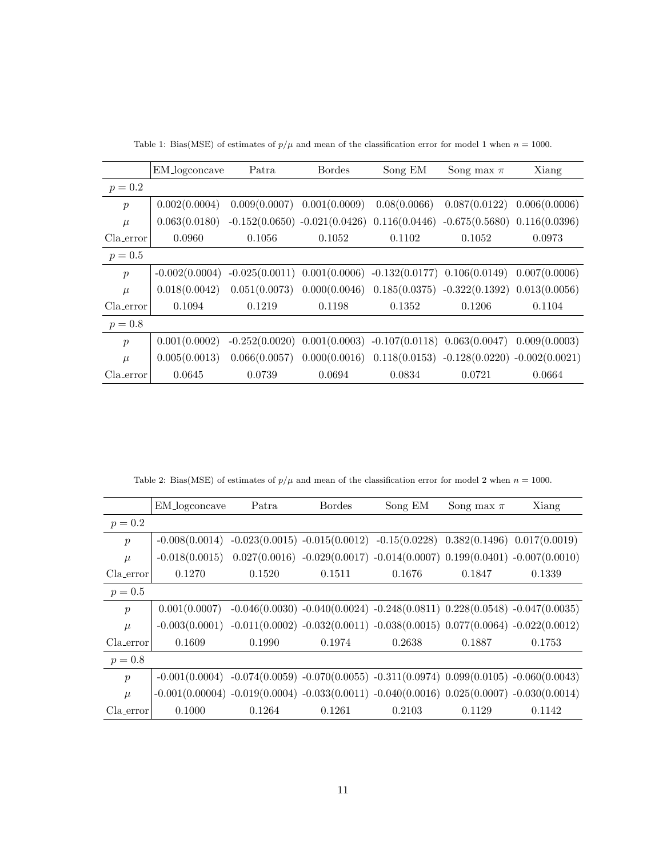<span id="page-10-0"></span>

|                  | EM_logconcave    | Patra                                                             | <b>Bordes</b> | Song EM                                                           | Song max $\pi$                                                                    | Xiang         |
|------------------|------------------|-------------------------------------------------------------------|---------------|-------------------------------------------------------------------|-----------------------------------------------------------------------------------|---------------|
| $p = 0.2$        |                  |                                                                   |               |                                                                   |                                                                                   |               |
| $\mathcal{p}$    | 0.002(0.0004)    | 0.009(0.0007)                                                     | 0.001(0.0009) | 0.08(0.0066)                                                      | 0.087(0.0122)                                                                     | 0.006(0.0006) |
| $\mu$            | 0.063(0.0180)    | $-0.152(0.0650) -0.021(0.0426) 0.116(0.0446)$                     |               |                                                                   | $-0.675(0.5680)$ $0.116(0.0396)$                                                  |               |
| Cla_error        | 0.0960           | 0.1056                                                            | 0.1052        | 0.1102                                                            | 0.1052                                                                            | 0.0973        |
| $p = 0.5$        |                  |                                                                   |               |                                                                   |                                                                                   |               |
| $\boldsymbol{p}$ | $-0.002(0.0004)$ | $-0.025(0.0011)$ $0.001(0.0006)$ $-0.132(0.0177)$ $0.106(0.0149)$ |               |                                                                   |                                                                                   | 0.007(0.0006) |
| $\mu$            | 0.018(0.0042)    | 0.051(0.0073)                                                     |               |                                                                   | $0.000(0.0046)$ $0.185(0.0375)$ $-0.322(0.1392)$ $0.013(0.0056)$                  |               |
| Cla_error        | 0.1094           | 0.1219                                                            | 0.1198        | 0.1352                                                            | 0.1206                                                                            | 0.1104        |
| $p = 0.8$        |                  |                                                                   |               |                                                                   |                                                                                   |               |
| $\boldsymbol{p}$ | 0.001(0.0002)    |                                                                   |               | $-0.252(0.0020)$ $0.001(0.0003)$ $-0.107(0.0118)$ $0.063(0.0047)$ |                                                                                   | 0.009(0.0003) |
| $\mu$            | 0.005(0.0013)    |                                                                   |               |                                                                   | $0.066(0.0057)$ $0.000(0.0016)$ $0.118(0.0153)$ $-0.128(0.0220)$ $-0.002(0.0021)$ |               |
| Cla_error        | 0.0645           | 0.0739                                                            | 0.0694        | 0.0834                                                            | 0.0721                                                                            | 0.0664        |

Table 1: Bias(MSE) of estimates of  $p/\mu$  and mean of the classification error for model 1 when  $n = 1000$ .

Table 2: Bias(MSE) of estimates of  $p/\mu$  and mean of the classification error for model 2 when  $n = 1000$ .

|                  | EM_logconcave                                                                                         | Patra                                                                       | <b>Bordes</b> | Song EM                                                                     | Song max $\pi$ | Xiang  |
|------------------|-------------------------------------------------------------------------------------------------------|-----------------------------------------------------------------------------|---------------|-----------------------------------------------------------------------------|----------------|--------|
| $p = 0.2$        |                                                                                                       |                                                                             |               |                                                                             |                |        |
| $\boldsymbol{p}$ | $-0.008(0.0014)$ $-0.023(0.0015)$ $-0.015(0.0012)$ $-0.15(0.0228)$ $0.382(0.1496)$ $0.017(0.0019)$    |                                                                             |               |                                                                             |                |        |
| $\mu$            | $-0.018(0.0015)$                                                                                      |                                                                             |               | $0.027(0.0016) -0.029(0.0017) -0.014(0.0007) 0.199(0.0401) -0.007(0.0010)$  |                |        |
| Cla_error        | 0.1270                                                                                                | 0.1520                                                                      | 0.1511        | 0.1676                                                                      | 0.1847         | 0.1339 |
| $p = 0.5$        |                                                                                                       |                                                                             |               |                                                                             |                |        |
| $\boldsymbol{p}$ | 0.001(0.0007)                                                                                         |                                                                             |               | $-0.046(0.0030) -0.040(0.0024) -0.248(0.0811) 0.228(0.0548) -0.047(0.0035)$ |                |        |
| $\mu$            | $-0.003(0.0001)$                                                                                      | $-0.011(0.0002) -0.032(0.0011) -0.038(0.0015) 0.077(0.0064) -0.022(0.0012)$ |               |                                                                             |                |        |
| Cla_error        | 0.1609                                                                                                | 0.1990                                                                      | 0.1974        | 0.2638                                                                      | 0.1887         | 0.1753 |
| $p = 0.8$        |                                                                                                       |                                                                             |               |                                                                             |                |        |
| $\boldsymbol{p}$ | $-0.001(0.0004)$ $-0.074(0.0059)$ $-0.070(0.0055)$ $-0.311(0.0974)$ $0.099(0.0105)$ $-0.060(0.0043)$  |                                                                             |               |                                                                             |                |        |
| $\mu$            | $-0.001(0.00004)$ $-0.019(0.0004)$ $-0.033(0.0011)$ $-0.040(0.0016)$ $0.025(0.0007)$ $-0.030(0.0014)$ |                                                                             |               |                                                                             |                |        |
| Cla_error        | 0.1000                                                                                                | 0.1264                                                                      | 0.1261        | 0.2103                                                                      | 0.1129         | 0.1142 |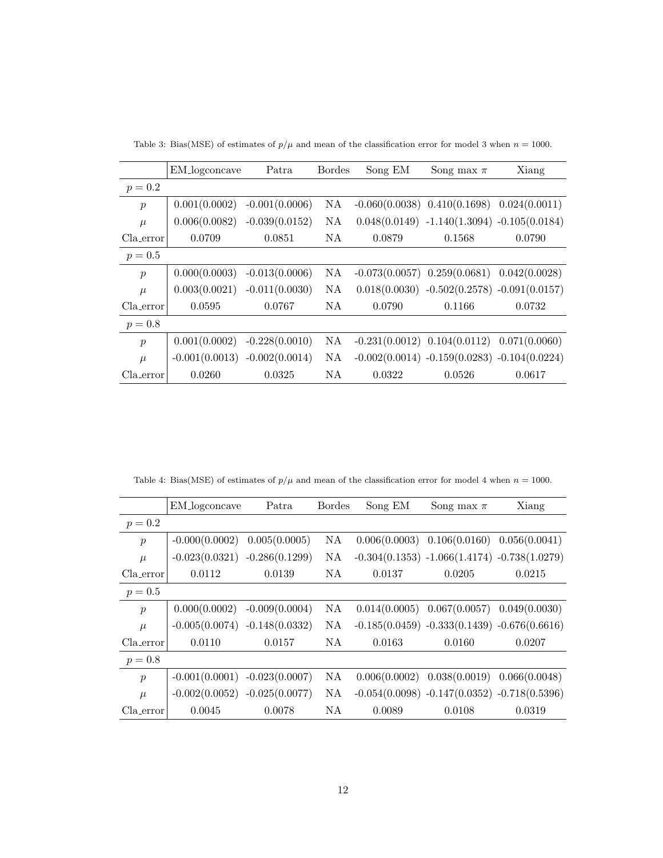|                  | EM_logconcave    | Patra            | <b>Bordes</b> | Song EM | Song max $\pi$                                    | Xiang  |
|------------------|------------------|------------------|---------------|---------|---------------------------------------------------|--------|
| $p = 0.2$        |                  |                  |               |         |                                                   |        |
| $\boldsymbol{p}$ | 0.001(0.0002)    | $-0.001(0.0006)$ | NA.           |         | $-0.060(0.0038)$ $0.410(0.1698)$ $0.024(0.0011)$  |        |
| $\mu$            | 0.006(0.0082)    | $-0.039(0.0152)$ | NA.           |         | $0.048(0.0149) -1.140(1.3094) -0.105(0.0184)$     |        |
| Cla_error        | 0.0709           | 0.0851           | NA.           | 0.0879  | 0.1568                                            | 0.0790 |
| $p = 0.5$        |                  |                  |               |         |                                                   |        |
| $\boldsymbol{p}$ | 0.000(0.0003)    | $-0.013(0.0006)$ | NA.           |         | $-0.073(0.0057)$ $0.259(0.0681)$ $0.042(0.0028)$  |        |
| $\mu$            | 0.003(0.0021)    | $-0.011(0.0030)$ | NA            |         | $0.018(0.0030)$ $-0.502(0.2578)$ $-0.091(0.0157)$ |        |
| Cla_error        | 0.0595           | 0.0767           | NA            | 0.0790  | 0.1166                                            | 0.0732 |
| $p = 0.8$        |                  |                  |               |         |                                                   |        |
| $\boldsymbol{p}$ | 0.001(0.0002)    | $-0.228(0.0010)$ | NA.           |         | $-0.231(0.0012)$ $0.104(0.0112)$ $0.071(0.0060)$  |        |
| $\mu$            | $-0.001(0.0013)$ | $-0.002(0.0014)$ | NA.           |         | $-0.002(0.0014) -0.159(0.0283) -0.104(0.0224)$    |        |
| Cla_error        | 0.0260           | 0.0325           | NA.           | 0.0322  | 0.0526                                            | 0.0617 |

Table 3: Bias(MSE) of estimates of  $p/\mu$  and mean of the classification error for model 3 when  $n = 1000$ .

Table 4: Bias(MSE) of estimates of  $p/\mu$  and mean of the classification error for model 4 when  $n = 1000$ .

|                  | EM_logconcave                   | Patra            | <b>Bordes</b> | Song EM | Song max $\pi$                                  | Xiang  |
|------------------|---------------------------------|------------------|---------------|---------|-------------------------------------------------|--------|
| $p = 0.2$        |                                 |                  |               |         |                                                 |        |
| $\boldsymbol{p}$ | $-0.000(0.0002)$                | 0.005(0.0005)    | NA            |         | $0.006(0.0003)$ $0.106(0.0160)$ $0.056(0.0041)$ |        |
| $\mu$            | $-0.023(0.0321)$                | $-0.286(0.1299)$ | NA            |         | $-0.304(0.1353) -1.066(1.4174) -0.738(1.0279)$  |        |
| Cla_error        | 0.0112                          | 0.0139           | NA.           | 0.0137  | 0.0205                                          | 0.0215 |
| $p = 0.5$        |                                 |                  |               |         |                                                 |        |
| $\boldsymbol{p}$ | 0.000(0.0002)                   | $-0.009(0.0004)$ | NA            |         | $0.014(0.0005)$ $0.067(0.0057)$ $0.049(0.0030)$ |        |
| $\mu$            | $-0.005(0.0074) -0.148(0.0332)$ |                  | NA            |         | $-0.185(0.0459) -0.333(0.1439) -0.676(0.6616)$  |        |
| Cla_error        | 0.0110                          | 0.0157           | NA.           | 0.0163  | 0.0160                                          | 0.0207 |
| $p = 0.8$        |                                 |                  |               |         |                                                 |        |
| $\boldsymbol{p}$ | $-0.001(0.0001)$                | $-0.023(0.0007)$ | NA            |         | $0.006(0.0002)$ $0.038(0.0019)$ $0.066(0.0048)$ |        |
| $\mu$            | $-0.002(0.0052) -0.025(0.0077)$ |                  | NA.           |         | $-0.054(0.0098) -0.147(0.0352) -0.718(0.5396)$  |        |
| Cla_error        | 0.0045                          | 0.0078           | NA            | 0.0089  | 0.0108                                          | 0.0319 |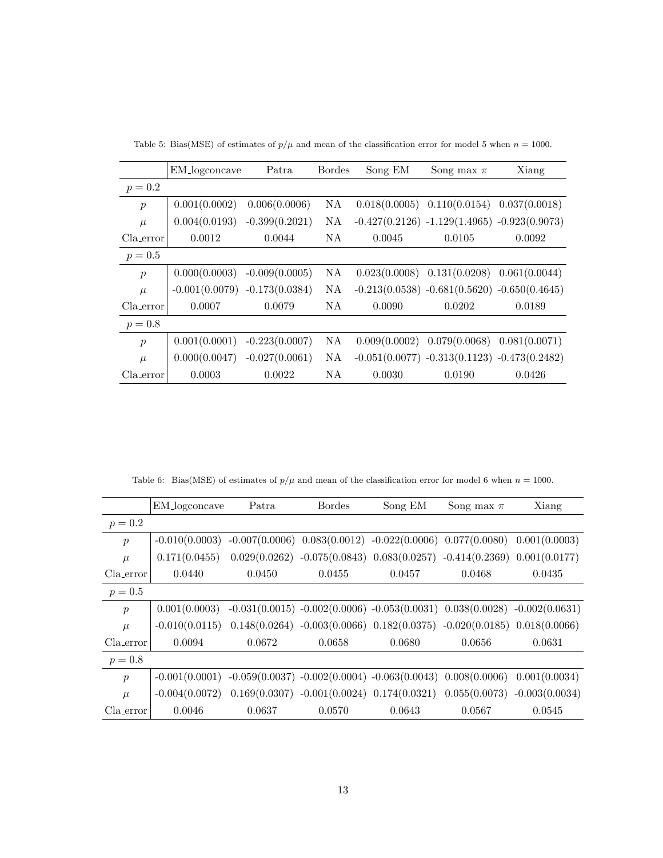|                  | EM_logconcave    | Patra            | <b>Bordes</b> | Song EM       | Song max $\pi$                  | Xiang                                          |
|------------------|------------------|------------------|---------------|---------------|---------------------------------|------------------------------------------------|
| $p = 0.2$        |                  |                  |               |               |                                 |                                                |
| $\boldsymbol{p}$ | 0.001(0.0002)    | 0.006(0.0006)    | NA.           | 0.018(0.0005) |                                 | $0.110(0.0154)$ $0.037(0.0018)$                |
| $\mu$            | 0.004(0.0193)    | $-0.399(0.2021)$ | NA.           |               |                                 | $-0.427(0.2126) -1.129(1.4965) -0.923(0.9073)$ |
| Cla_error        | 0.0012           | 0.0044           | NA.           | 0.0045        | 0.0105                          | 0.0092                                         |
| $p = 0.5$        |                  |                  |               |               |                                 |                                                |
| $\boldsymbol{p}$ | 0.000(0.0003)    | $-0.009(0.0005)$ | NА            | 0.023(0.0008) | $0.131(0.0208)$ $0.061(0.0044)$ |                                                |
| $\mu$            | $-0.001(0.0079)$ | $-0.173(0.0384)$ | NA            |               |                                 | $-0.213(0.0538) -0.681(0.5620) -0.650(0.4645)$ |
| Cla_error        | 0.0007           | 0.0079           | NA            | 0.0090        | 0.0202                          | 0.0189                                         |
| $p = 0.8$        |                  |                  |               |               |                                 |                                                |
| $\boldsymbol{p}$ | 0.001(0.0001)    | $-0.223(0.0007)$ | NA            | 0.009(0.0002) | 0.079(0.0068)                   | 0.081(0.0071)                                  |
| $\mu$            | 0.000(0.0047)    | $-0.027(0.0061)$ | NA.           |               |                                 | $-0.051(0.0077) -0.313(0.1123) -0.473(0.2482)$ |
| Cla_error        | 0.0003           | 0.0022           | NA.           | 0.0030        | 0.0190                          | 0.0426                                         |

Table 5: Bias(MSE) of estimates of  $p/\mu$  and mean of the classification error for model 5 when  $n = 1000$ .

Table 6: Bias(MSE) of estimates of  $p/\mu$  and mean of the classification error for model 6 when  $n = 1000$ .

<span id="page-12-0"></span>

|                  | EM_logconcave                                                                       | Patra  | <b>Bordes</b>                                                                     | Song EM | Song max $\pi$ | Xiang         |
|------------------|-------------------------------------------------------------------------------------|--------|-----------------------------------------------------------------------------------|---------|----------------|---------------|
| $p = 0.2$        |                                                                                     |        |                                                                                   |         |                |               |
| $\boldsymbol{p}$ | $-0.010(0.0003)$                                                                    |        | $-0.007(0.0006)$ $0.083(0.0012)$ $-0.022(0.0006)$ $0.077(0.0080)$ $0.001(0.0003)$ |         |                |               |
| $\mu$            | 0.171(0.0455)                                                                       |        | $0.029(0.0262) -0.075(0.0843) 0.083(0.0257) -0.414(0.2369) 0.001(0.0177)$         |         |                |               |
| Cla_error        | 0.0440                                                                              | 0.0450 | 0.0455                                                                            | 0.0457  | 0.0468         | 0.0435        |
| $p = 0.5$        |                                                                                     |        |                                                                                   |         |                |               |
| $\boldsymbol{p}$ | 0.001(0.0003)                                                                       |        | $-0.031(0.0015) -0.002(0.0006) -0.053(0.0031) 0.038(0.0028) -0.002(0.0631)$       |         |                |               |
| $\mu$            | $-0.010(0.0115)$                                                                    |        | $0.148(0.0264) -0.003(0.0066) 0.182(0.0375) -0.020(0.0185) 0.018(0.0066)$         |         |                |               |
| $Cla_error$      | 0.0094                                                                              | 0.0672 | 0.0658                                                                            | 0.0680  | 0.0656         | 0.0631        |
| $p = 0.8$        |                                                                                     |        |                                                                                   |         |                |               |
| $\boldsymbol{p}$ | $-0.001(0.0001)$ $-0.059(0.0037)$ $-0.002(0.0004)$ $-0.063(0.0043)$ $0.008(0.0006)$ |        |                                                                                   |         |                | 0.001(0.0034) |
| $\mu$            | $-0.004(0.0072)$                                                                    |        | $0.169(0.0307) -0.001(0.0024) 0.174(0.0321) 0.055(0.0073) -0.003(0.0034)$         |         |                |               |
| Cla_error        | 0.0046                                                                              | 0.0637 | 0.0570                                                                            | 0.0643  | 0.0567         | 0.0545        |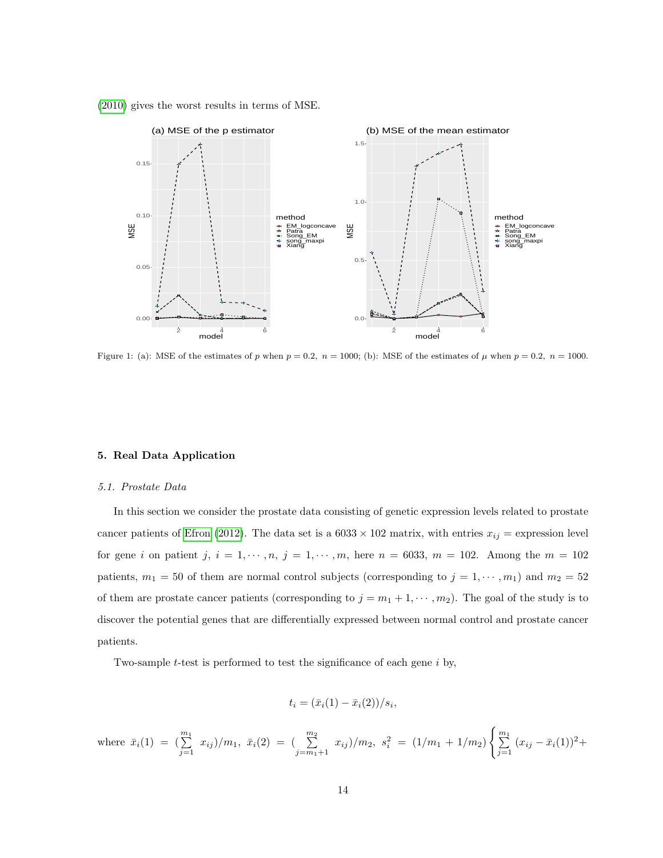<span id="page-13-1"></span>[\(2010\)](#page-32-0) gives the worst results in terms of MSE.



Figure 1: (a): MSE of the estimates of p when  $p = 0.2$ ,  $n = 1000$ ; (b): MSE of the estimates of  $\mu$  when  $p = 0.2$ ,  $n = 1000$ .

#### <span id="page-13-0"></span>5. Real Data Application

#### 5.1. Prostate Data

In this section we consider the prostate data consisting of genetic expression levels related to prostate cancer patients of [Efron \(2012\)](#page-31-8). The data set is a  $6033 \times 102$  matrix, with entries  $x_{ij}$  = expression level for gene i on patient j,  $i = 1, \dots, n$ ,  $j = 1, \dots, m$ , here  $n = 6033$ ,  $m = 102$ . Among the  $m = 102$ patients,  $m_1 = 50$  of them are normal control subjects (corresponding to  $j = 1, \dots, m_1$ ) and  $m_2 = 52$ of them are prostate cancer patients (corresponding to  $j = m_1 + 1, \cdots, m_2$ ). The goal of the study is to discover the potential genes that are differentially expressed between normal control and prostate cancer patients.

Two-sample t-test is performed to test the significance of each gene i by,

$$
t_i = (\bar{x}_i(1) - \bar{x}_i(2))/s_i,
$$

where 
$$
\bar{x}_i(1) = \left(\sum_{j=1}^{m_1} x_{ij}\right)/m_1
$$
,  $\bar{x}_i(2) = \left(\sum_{j=m_1+1}^{m_2} x_{ij}\right)/m_2$ ,  $s_i^2 = (1/m_1 + 1/m_2) \left\{\sum_{j=1}^{m_1} (x_{ij} - \bar{x}_i(1))^2 + \right\}$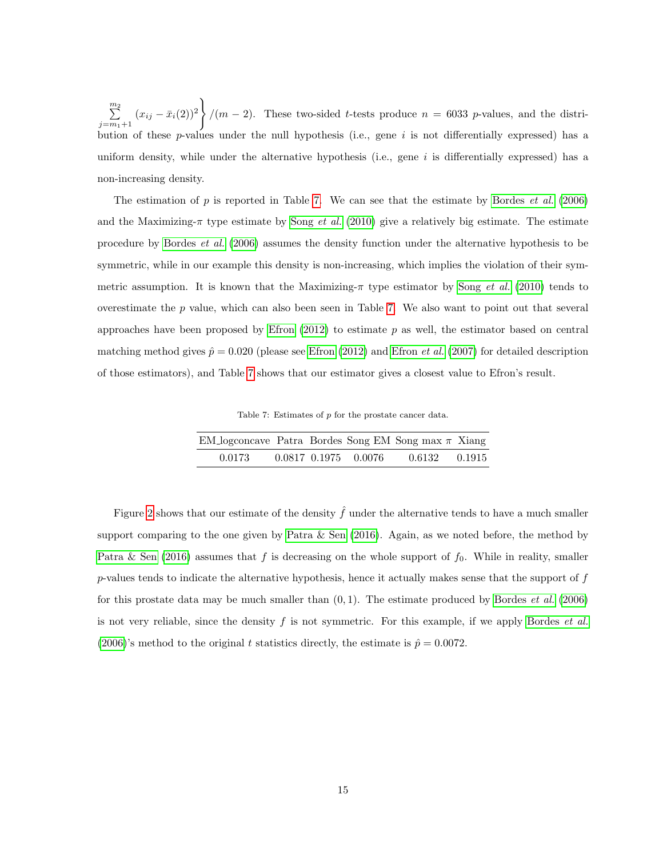$\sum_{i=1}^{m_2}$  $\sum_{j=m_1+1}^{\infty} (x_{ij} - \bar{x}_i(2))^2$  $\mathcal{L}$  $/(m-2)$ . These two-sided t-tests produce  $n = 6033$  p-values, and the distribution of these  $p$ -values under the null hypothesis (i.e., gene  $i$  is not differentially expressed) has a uniform density, while under the alternative hypothesis (i.e., gene  $i$  is differentially expressed) has a non-increasing density.

The estimation of  $p$  is reported in Table [7.](#page-14-0) We can see that the estimate by [Bordes](#page-30-0) *et al.* [\(2006\)](#page-30-0) and the Maximizing- $\pi$  type estimate by Song *[et al.](#page-32-0)* [\(2010\)](#page-32-0) give a relatively big estimate. The estimate procedure by [Bordes](#page-30-0) et al. [\(2006\)](#page-30-0) assumes the density function under the alternative hypothesis to be symmetric, while in our example this density is non-increasing, which implies the violation of their symmetric assumption. It is known that the Maximizing- $\pi$  type estimator by Song *[et al.](#page-32-0)* [\(2010\)](#page-32-0) tends to overestimate the p value, which can also been seen in Table [7.](#page-14-0) We also want to point out that several approaches have been proposed by Efron  $(2012)$  to estimate p as well, the estimator based on central matching method gives  $\hat{p} = 0.020$  (please see [Efron \(2012\)](#page-31-8) and [Efron](#page-31-9) *et al.* [\(2007\)](#page-31-9) for detailed description of those estimators), and Table [7](#page-14-0) shows that our estimator gives a closest value to Efron's result.

Table 7: Estimates of p for the prostate cancer data.

<span id="page-14-0"></span>

| EM_logconcave Patra Bordes Song EM Song max $\pi$ Xiang |  |                      |                   |  |
|---------------------------------------------------------|--|----------------------|-------------------|--|
| 0.0173                                                  |  | 0.0817 0.1975 0.0076 | $0.6132$ $0.1915$ |  |

Figure [2](#page-15-0) shows that our estimate of the density  $\hat{f}$  under the alternative tends to have a much smaller support comparing to the one given by Patra  $&$  Sen (2016). Again, as we noted before, the method by [Patra & Sen \(2016\)](#page-31-0) assumes that f is decreasing on the whole support of  $f_0$ . While in reality, smaller  $p$ -values tends to indicate the alternative hypothesis, hence it actually makes sense that the support of  $f$ for this prostate data may be much smaller than  $(0, 1)$ . The estimate produced by [Bordes](#page-30-0) *et al.* [\(2006\)](#page-30-0) is not very reliable, since the density  $f$  is not symmetric. For this example, if we apply [Bordes](#page-30-0) *et al.* [\(2006\)](#page-30-0)'s method to the original t statistics directly, the estimate is  $\hat{p} = 0.0072$ .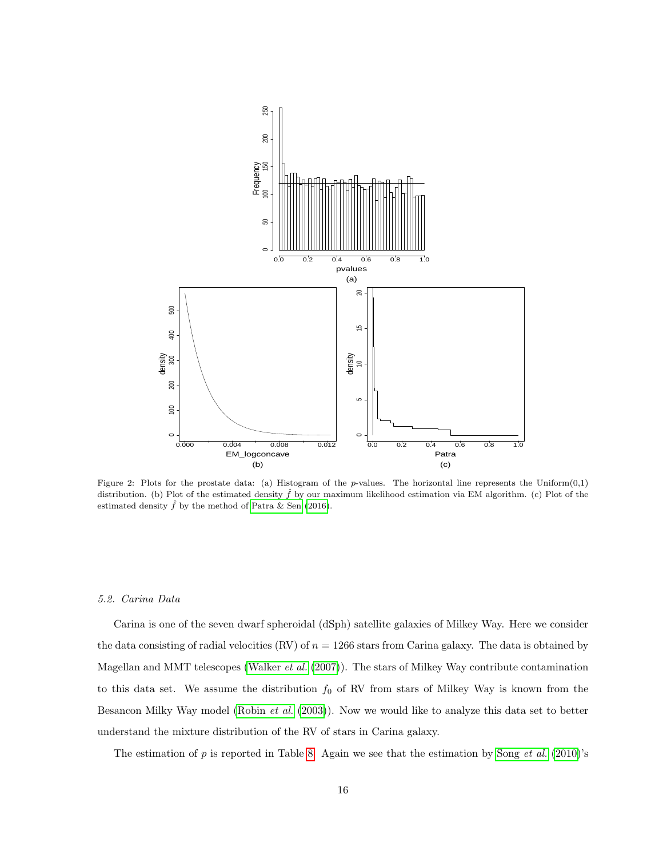<span id="page-15-0"></span>

Figure 2: Plots for the prostate data: (a) Histogram of the  $p$ -values. The horizontal line represents the Uniform $(0,1)$ distribution. (b) Plot of the estimated density  $\hat{f}$  by our maximum likelihood estimation via EM algorithm. (c) Plot of the estimated density  $\hat{f}$  by the method of [Patra & Sen](#page-31-0) [\(2016\)](#page-31-0).

#### 5.2. Carina Data

Carina is one of the seven dwarf spheroidal (dSph) satellite galaxies of Milkey Way. Here we consider the data consisting of radial velocities (RV) of  $n = 1266$  stars from Carina galaxy. The data is obtained by Magellan and MMT telescopes [\(Walker](#page-32-5) et al. [\(2007\)](#page-32-5)). The stars of Milkey Way contribute contamination to this data set. We assume the distribution  $f_0$  of RV from stars of Milkey Way is known from the Besancon Milky Way model [\(Robin](#page-31-10)  $et \ al.$  [\(2003\)](#page-31-10)). Now we would like to analyze this data set to better understand the mixture distribution of the RV of stars in Carina galaxy.

The estimation of  $p$  is reported in Table [8.](#page-16-1) Again we see that the estimation by Song *[et al.](#page-32-0)* [\(2010\)](#page-32-0)'s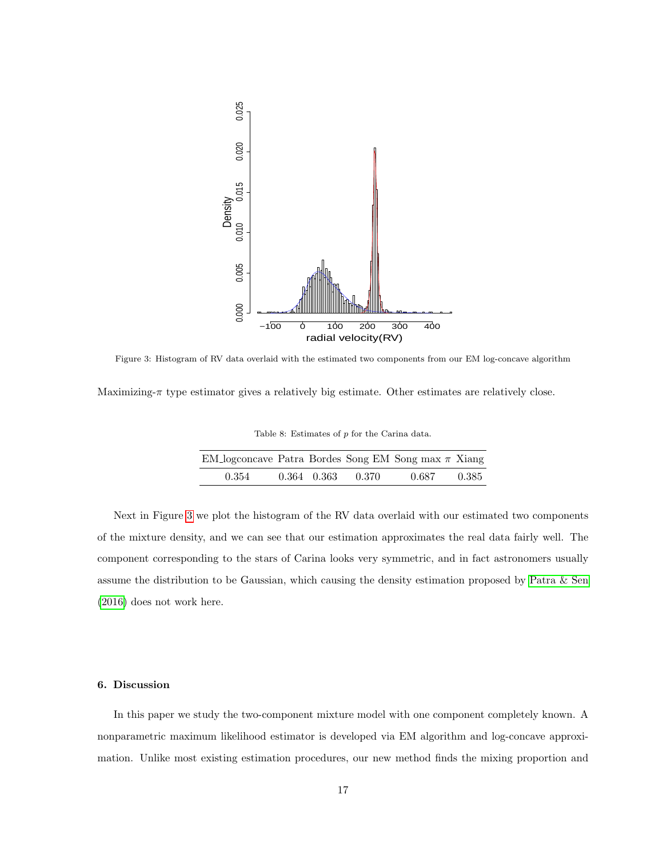<span id="page-16-2"></span>

Figure 3: Histogram of RV data overlaid with the estimated two components from our EM log-concave algorithm

<span id="page-16-1"></span>Maximizing- $\pi$  type estimator gives a relatively big estimate. Other estimates are relatively close.

Table 8: Estimates of  $p$  for the Carina data.

| EM_logconcave Patra Bordes Song EM Song max $\pi$ Xiang |  |                         |       |        |
|---------------------------------------------------------|--|-------------------------|-------|--------|
| 0.354                                                   |  | $0.364$ $0.363$ $0.370$ | 0.687 | -0.385 |

Next in Figure [3](#page-16-2) we plot the histogram of the RV data overlaid with our estimated two components of the mixture density, and we can see that our estimation approximates the real data fairly well. The component corresponding to the stars of Carina looks very symmetric, and in fact astronomers usually assume the distribution to be Gaussian, which causing the density estimation proposed by [Patra & Sen](#page-31-0) [\(2016\)](#page-31-0) does not work here.

# <span id="page-16-0"></span>6. Discussion

In this paper we study the two-component mixture model with one component completely known. A nonparametric maximum likelihood estimator is developed via EM algorithm and log-concave approximation. Unlike most existing estimation procedures, our new method finds the mixing proportion and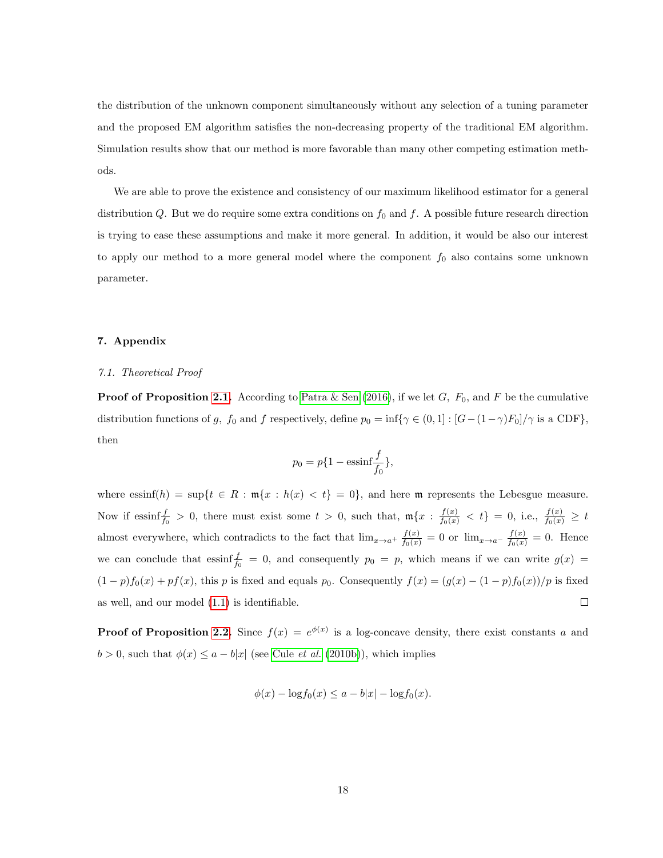the distribution of the unknown component simultaneously without any selection of a tuning parameter and the proposed EM algorithm satisfies the non-decreasing property of the traditional EM algorithm. Simulation results show that our method is more favorable than many other competing estimation methods.

We are able to prove the existence and consistency of our maximum likelihood estimator for a general distribution Q. But we do require some extra conditions on  $f_0$  and  $f$ . A possible future research direction is trying to ease these assumptions and make it more general. In addition, it would be also our interest to apply our method to a more general model where the component  $f_0$  also contains some unknown parameter.

# <span id="page-17-0"></span>7. Appendix

# 7.1. Theoretical Proof

**Proof of Proposition [2.1.](#page-2-1)** According to [Patra & Sen \(2016\)](#page-31-0), if we let G,  $F_0$ , and F be the cumulative distribution functions of g,  $f_0$  and f respectively, define  $p_0 = \inf\{\gamma \in (0, 1] : [G - (1 - \gamma)F_0]/\gamma \text{ is a CDF}\},\$ then

$$
p_0 = p\{1 - \operatorname{essinf}\frac{f}{f_0}\},
$$

where essinf(h) = sup{ $t \in R : \mathfrak{m}{x : h(x) < t} = 0$ }, and here m represents the Lebesgue measure. Now if essinf $\frac{f}{f_0} > 0$ , there must exist some  $t > 0$ , such that,  $\mathfrak{m}\lbrace x : \frac{f(x)}{f_0(x)} < t \rbrace = 0$ , i.e.,  $\frac{f(x)}{f_0(x)} \geq t$ almost everywhere, which contradicts to the fact that  $\lim_{x\to a^+} \frac{f(x)}{f_0(x)} = 0$  or  $\lim_{x\to a^-} \frac{f(x)}{f_0(x)} = 0$ . Hence we can conclude that essinf  $\frac{f}{f_0} = 0$ , and consequently  $p_0 = p$ , which means if we can write  $g(x) =$  $(1-p)f_0(x) + pf(x)$ , this p is fixed and equals p<sub>0</sub>. Consequently  $f(x) = (g(x) - (1-p)f_0(x))/p$  is fixed as well, and our model [\(1.1\)](#page-0-0) is identifiable.  $\Box$ 

**Proof of Proposition [2.2.](#page-3-0)** Since  $f(x) = e^{\phi(x)}$  is a log-concave density, there exist constants a and  $b > 0$ , such that  $\phi(x) \le a - b|x|$  (see Cule *[et al.](#page-31-11)* [\(2010b\)](#page-31-11)), which implies

$$
\phi(x) - \log f_0(x) \le a - b|x| - \log f_0(x).
$$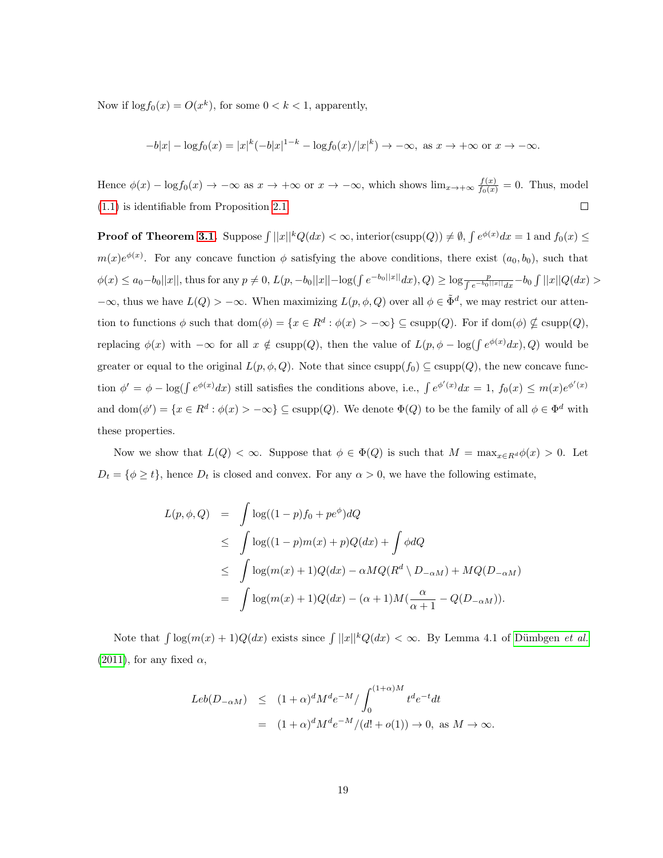Now if  $\log f_0(x) = O(x^k)$ , for some  $0 < k < 1$ , apparently,

$$
-b|x| - \log f_0(x) = |x|^k (-b|x|^{1-k} - \log f_0(x)/|x|^k) \to -\infty, \text{ as } x \to +\infty \text{ or } x \to -\infty.
$$

Hence  $\phi(x) - \log f_0(x) \to -\infty$  as  $x \to +\infty$  or  $x \to -\infty$ , which shows  $\lim_{x \to +\infty} \frac{f(x)}{f_0(x)} = 0$ . Thus, model [\(1.1\)](#page-0-0) is identifiable from Proposition [2.1.](#page-2-1)  $\Box$ 

**Proof of Theorem [3.1.](#page-6-0)** Suppose  $\int ||x||^k Q(dx) < \infty$ , interior(csupp(Q))  $\neq \emptyset$ ,  $\int e^{\phi(x)} dx = 1$  and  $f_0(x) \leq$  $m(x)e^{\phi(x)}$ . For any concave function  $\phi$  satisfying the above conditions, there exist  $(a_0, b_0)$ , such that  $\phi(x) \le a_0 - b_0 ||x||$ , thus for any  $p \ne 0$ ,  $L(p, -b_0 ||x|| - \log(\int e^{-b_0 ||x||} dx), Q) \ge \log \frac{p}{\int e^{-b_0 ||x||} dx} - b_0 \int ||x|| Q(dx)$  $-\infty$ , thus we have  $L(Q) > -\infty$ . When maximizing  $L(p, \phi, Q)$  over all  $\phi \in \tilde{\Phi}^d$ , we may restrict our attention to functions  $\phi$  such that  $dom(\phi) = \{x \in R^d : \phi(x) > -\infty\} \subseteq \text{csupp}(Q)$ . For if  $dom(\phi) \nsubseteq \text{csupp}(Q)$ , replacing  $\phi(x)$  with  $-\infty$  for all  $x \notin \text{csupp}(Q)$ , then the value of  $L(p, \phi - \log(\int e^{\phi(x)} dx), Q)$  would be greater or equal to the original  $L(p, \phi, Q)$ . Note that since  $\text{csupp}(f_0) \subseteq \text{csupp}(Q)$ , the new concave function  $\phi' = \phi - \log(\int e^{\phi(x)} dx)$  still satisfies the conditions above, i.e.,  $\int e^{\phi'(x)} dx = 1$ ,  $f_0(x) \le m(x)e^{\phi'(x)}$ and dom $(\phi') = \{x \in R^d : \phi(x) > -\infty\} \subseteq \text{csupp}(Q)$ . We denote  $\Phi(Q)$  to be the family of all  $\phi \in \Phi^d$  with these properties.

Now we show that  $L(Q) < \infty$ . Suppose that  $\phi \in \Phi(Q)$  is such that  $M = \max_{x \in R^d} \phi(x) > 0$ . Let  $D_t = \{\phi \geq t\}$ , hence  $D_t$  is closed and convex. For any  $\alpha > 0$ , we have the following estimate,

<span id="page-18-0"></span>
$$
L(p, \phi, Q) = \int \log((1-p)f_0 + pe^{\phi})dQ
$$
  
\n
$$
\leq \int \log((1-p)m(x) + p)Q(dx) + \int \phi dQ
$$
  
\n
$$
\leq \int \log(m(x) + 1)Q(dx) - \alpha M Q(R^d \setminus D_{-\alpha M}) + MQ(D_{-\alpha M})
$$
  
\n
$$
= \int \log(m(x) + 1)Q(dx) - (\alpha + 1)M(\frac{\alpha}{\alpha + 1} - Q(D_{-\alpha M})).
$$

Note that  $\int \log(m(x) + 1)Q(dx)$  exists since  $\int ||x||^kQ(dx) < \infty$ . By Lemma 4.1 of Dümbgen et al. [\(2011\)](#page-31-4), for any fixed  $\alpha$ ,

$$
Leb(D_{-\alpha M}) \le (1+\alpha)^d M^d e^{-M} / \int_0^{(1+\alpha)M} t^d e^{-t} dt
$$
  
=  $(1+\alpha)^d M^d e^{-M} / (d! + o(1)) \to 0$ , as  $M \to \infty$ .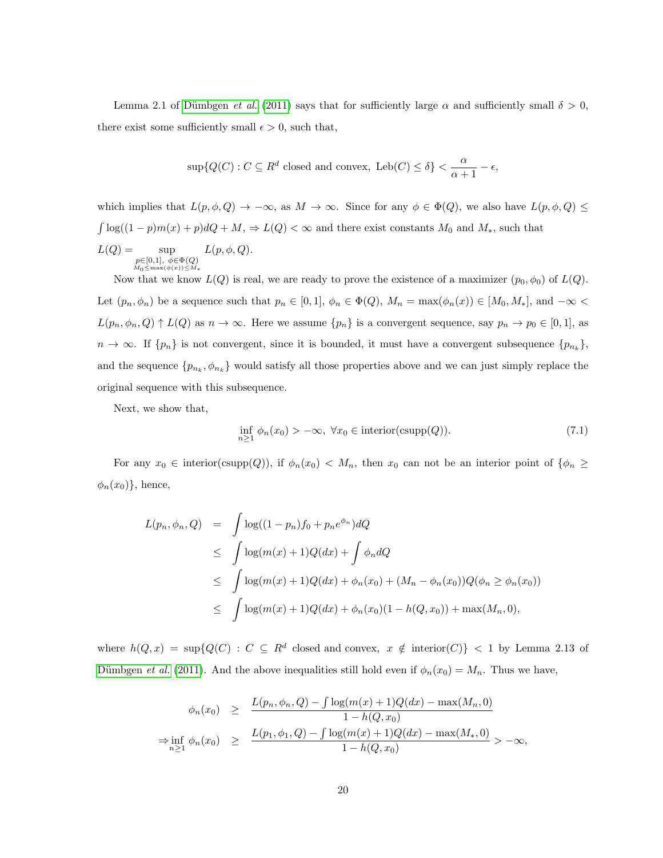Lemma 2.1 of Dümbgen *et al.* [\(2011\)](#page-31-4) says that for sufficiently large  $\alpha$  and sufficiently small  $\delta > 0$ , there exist some sufficiently small  $\epsilon > 0$ , such that,

$$
\sup \{Q(C): C \subseteq R^d \text{ closed and convex, } \text{Leb}(C) \le \delta\} < \frac{\alpha}{\alpha + 1} - \epsilon,
$$

which implies that  $L(p, \phi, Q) \to -\infty$ , as  $M \to \infty$ . Since for any  $\phi \in \Phi(Q)$ , we also have  $L(p, \phi, Q) \le$  $\int \log((1-p)m(x)+p)dQ + M$ ,  $\Rightarrow$   $L(Q) < \infty$  and there exist constants  $M_0$  and  $M_*$ , such that  $L(Q) = \text{sup}$  $\begin{array}{l} p{\in}[0,1],\ \phi{\in}\Phi(Q)\\ \scriptstyle M_0\leq \max(\phi(x))\leq M_* \end{array}$  $L(p, \phi, Q)$ .

Now that we know  $L(Q)$  is real, we are ready to prove the existence of a maximizer  $(p_0, \phi_0)$  of  $L(Q)$ . Let  $(p_n, \phi_n)$  be a sequence such that  $p_n \in [0, 1]$ ,  $\phi_n \in \Phi(Q)$ ,  $M_n = \max(\phi_n(x)) \in [M_0, M_*]$ , and  $-\infty$  $L(p_n, \phi_n, Q) \uparrow L(Q)$  as  $n \to \infty$ . Here we assume  $\{p_n\}$  is a convergent sequence, say  $p_n \to p_0 \in [0, 1]$ , as  $n \to \infty$ . If  $\{p_n\}$  is not convergent, since it is bounded, it must have a convergent subsequence  $\{p_{n_k}\},$ and the sequence  ${p_{n_k}, \phi_{n_k}}$  would satisfy all those properties above and we can just simply replace the original sequence with this subsequence.

Next, we show that,

$$
\inf_{n\geq 1} \phi_n(x_0) > -\infty, \ \forall x_0 \in \text{interior}(\text{csupp}(Q)).\tag{7.1}
$$

For any  $x_0 \in \text{interior}(\text{csupp}(Q))$ , if  $\phi_n(x_0) < M_n$ , then  $x_0$  can not be an interior point of  $\{\phi_n \geq$  $\phi_n(x_0)$ , hence,

<span id="page-19-0"></span>
$$
L(p_n, \phi_n, Q) = \int \log((1 - p_n)f_0 + p_n e^{\phi_n})dQ
$$
  
\n
$$
\leq \int \log(m(x) + 1)Q(dx) + \int \phi_n dQ
$$
  
\n
$$
\leq \int \log(m(x) + 1)Q(dx) + \phi_n(x_0) + (M_n - \phi_n(x_0))Q(\phi_n \geq \phi_n(x_0))
$$
  
\n
$$
\leq \int \log(m(x) + 1)Q(dx) + \phi_n(x_0)(1 - h(Q, x_0)) + \max(M_n, 0),
$$

where  $h(Q, x) = \sup\{Q(C) : C \subseteq \mathbb{R}^d \text{ closed and convex}, x \notin \text{interior}(C)\}$  < 1 by Lemma 2.13 of Dümbgen *et al.* [\(2011\)](#page-31-4). And the above inequalities still hold even if  $\phi_n(x_0) = M_n$ . Thus we have,

$$
\phi_n(x_0) \geq \frac{L(p_n, \phi_n, Q) - \int \log(m(x) + 1)Q(dx) - \max(M_n, 0)}{1 - h(Q, x_0)}
$$
  
\n
$$
\Rightarrow \inf_{n \geq 1} \phi_n(x_0) \geq \frac{L(p_1, \phi_1, Q) - \int \log(m(x) + 1)Q(dx) - \max(M_*, 0)}{1 - h(Q, x_0)} > -\infty,
$$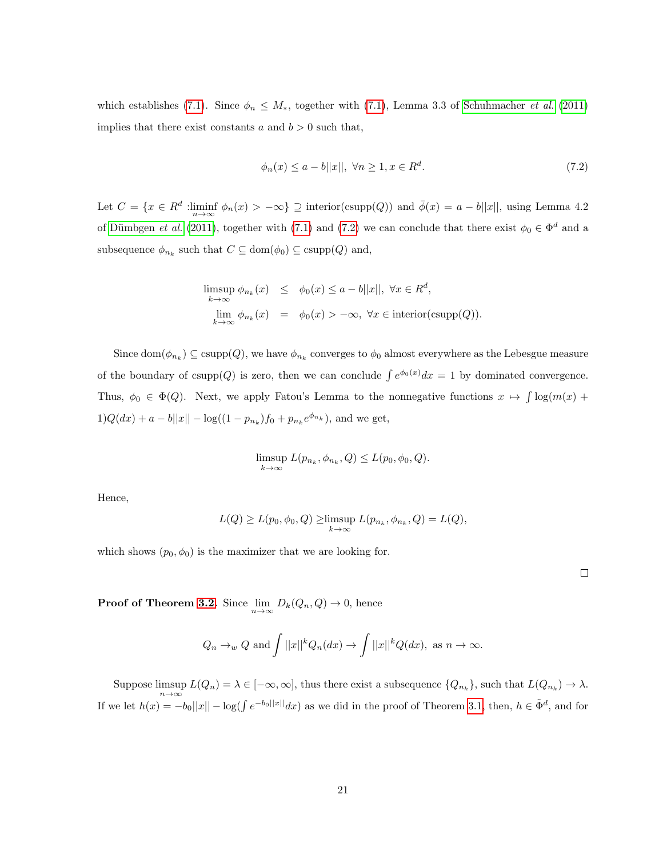which establishes [\(7.1\)](#page-18-0). Since  $\phi_n \leq M_*$ , together with (7.1), Lemma 3.3 of [Schuhmacher](#page-32-6) *et al.* [\(2011\)](#page-32-6) implies that there exist constants a and  $b > 0$  such that,

$$
\phi_n(x) \le a - b||x||, \ \forall n \ge 1, x \in R^d. \tag{7.2}
$$

Let  $C = \{x \in \mathbb{R}^d : \liminf_{n \to \infty} \phi_n(x) > -\infty\} \supseteq \text{interior}(\text{csupp}(Q))$  and  $\overline{\phi}(x) = a - b||x||$ , using Lemma 4.2 of Dümbgen *et al.* [\(2011\)](#page-31-4), together with [\(7.1\)](#page-18-0) and [\(7.2\)](#page-19-0) we can conclude that there exist  $\phi_0 \in \Phi^d$  and a subsequence  $\phi_{n_k}$  such that  $C \subseteq \text{dom}(\phi_0) \subseteq \text{csupp}(Q)$  and,

<span id="page-20-0"></span>
$$
\limsup_{k \to \infty} \phi_{n_k}(x) \leq \phi_0(x) \leq a - b||x||, \forall x \in R^d,
$$
  

$$
\lim_{k \to \infty} \phi_{n_k}(x) = \phi_0(x) > -\infty, \forall x \in \text{interior}(\text{csupp}(Q)).
$$

Since  $\text{dom}(\phi_{n_k}) \subseteq \text{csupp}(Q)$ , we have  $\phi_{n_k}$  converges to  $\phi_0$  almost everywhere as the Lebesgue measure of the boundary of csupp(Q) is zero, then we can conclude  $\int e^{\phi_0(x)}dx = 1$  by dominated convergence. Thus,  $\phi_0 \in \Phi(Q)$ . Next, we apply Fatou's Lemma to the nonnegative functions  $x \mapsto \int \log(m(x))$  $1)Q(dx) + a - b||x|| - \log((1 - p_{n_k})f_0 + p_{n_k}e^{\phi_{n_k}})$ , and we get,

$$
\limsup_{k \to \infty} L(p_{n_k}, \phi_{n_k}, Q) \le L(p_0, \phi_0, Q).
$$

Hence,

$$
L(Q) \ge L(p_0, \phi_0, Q) \ge \limsup_{k \to \infty} L(p_{n_k}, \phi_{n_k}, Q) = L(Q),
$$

which shows  $(p_0, \phi_0)$  is the maximizer that we are looking for.

 $\Box$ 

**Proof of Theorem [3.2.](#page-7-0)** Since  $\lim_{n\to\infty} D_k(Q_n, Q) \to 0$ , hence

$$
Q_n \to_w Q
$$
 and  $\int ||x||^k Q_n(dx) \to \int ||x||^k Q(dx)$ , as  $n \to \infty$ .

Suppose limsup  $L(Q_n) = \lambda \in [-\infty, \infty]$ , thus there exist a subsequence  $\{Q_{n_k}\}\)$ , such that  $L(Q_{n_k}) \to \lambda$ . If we let  $h(x) = -b_0||x|| - \log(\int e^{-b_0||x||} dx)$  as we did in the proof of Theorem [3.1,](#page-6-0) then,  $h \in \tilde{\Phi}^d$ , and for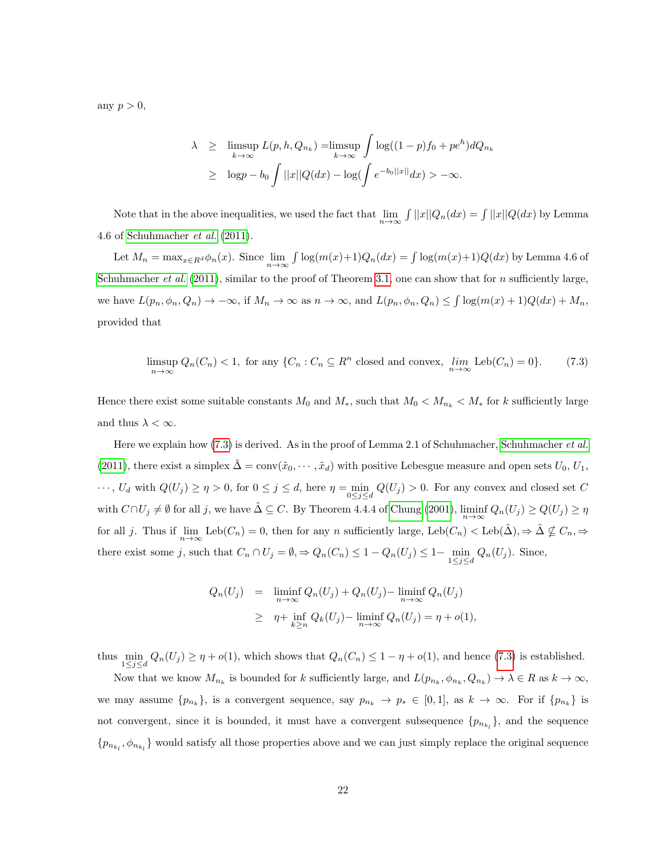any  $p > 0$ ,

$$
\lambda \geq \limsup_{k \to \infty} L(p, h, Q_{n_k}) = \limsup_{k \to \infty} \int \log((1-p)f_0 + pe^h) dQ_{n_k}
$$
  
 
$$
\geq \log p - b_0 \int ||x||Q(dx) - \log(\int e^{-b_0||x||} dx) > -\infty.
$$

Note that in the above inequalities, we used the fact that  $\lim_{n\to\infty} \int ||x||Q_n(dx) = \int ||x||Q(dx)$  by Lemma 4.6 of [Schuhmacher](#page-32-6) et al. [\(2011\)](#page-32-6).

Let  $M_n = \max_{x \in R^d} \phi_n(x)$ . Since  $\lim_{n \to \infty} \int \log(m(x)+1)Q_n(dx) = \int \log(m(x)+1)Q(dx)$  by Lemma 4.6 of [Schuhmacher](#page-32-6) et al. [\(2011\)](#page-32-6), similar to the proof of Theorem [3.1,](#page-6-0) one can show that for n sufficiently large, we have  $L(p_n, \phi_n, Q_n) \to -\infty$ , if  $M_n \to \infty$  as  $n \to \infty$ , and  $L(p_n, \phi_n, Q_n) \leq \int \log(m(x) + 1)Q(dx) + M_n$ , provided that

$$
\limsup_{n \to \infty} Q_n(C_n) < 1, \text{ for any } \{C_n : C_n \subseteq R^n \text{ closed and convex, } \lim_{n \to \infty} \text{Leb}(C_n) = 0\}. \tag{7.3}
$$

Hence there exist some suitable constants  $M_0$  and  $M_*$ , such that  $M_0 < M_{n_k} < M_*$  for k sufficiently large and thus  $\lambda < \infty$ .

Here we explain how [\(7.3\)](#page-20-0) is derived. As in the proof of Lemma 2.1 of [Schuhmacher](#page-32-6), Schuhmacher et al. [\(2011\)](#page-32-6), there exist a simplex  $\tilde{\Delta} = \text{conv}(\tilde{x}_0, \dots, \tilde{x}_d)$  with positive Lebesgue measure and open sets  $U_0, U_1$ ,  $\cdots$ ,  $U_d$  with  $Q(U_j) \ge \eta > 0$ , for  $0 \le j \le d$ , here  $\eta = \min_{0 \le j \le d} Q(U_j) > 0$ . For any convex and closed set C with  $C \cap U_j \neq \emptyset$  for all j, we have  $\tilde{\Delta} \subseteq C$ . By Theorem 4.4.4 of [Chung \(2001\)](#page-30-3),  $\liminf_{n \to \infty} Q_n(U_j) \geq Q(U_j) \geq \eta$ for all j. Thus if  $\lim_{n\to\infty}$  Leb $(C_n) = 0$ , then for any n sufficiently large, Leb $(C_n) <$  Leb $(\tilde{\Delta})$ ,  $\Rightarrow \tilde{\Delta} \nsubseteq C_n$ ,  $\Rightarrow$ there exist some j, such that  $C_n \cap U_j = \emptyset$ ,  $\Rightarrow Q_n(C_n) \leq 1 - Q_n(U_j) \leq 1 - \min_{1 \leq j \leq d} Q_n(U_j)$ . Since,

<span id="page-21-0"></span>
$$
Q_n(U_j) = \liminf_{n \to \infty} Q_n(U_j) + Q_n(U_j) - \liminf_{n \to \infty} Q_n(U_j)
$$
  
\n
$$
\geq \eta + \inf_{k \geq n} Q_k(U_j) - \liminf_{n \to \infty} Q_n(U_j) = \eta + o(1),
$$

thus  $\min_{1 \leq j \leq d} Q_n(U_j) \geq \eta + o(1)$ , which shows that  $Q_n(C_n) \leq 1 - \eta + o(1)$ , and hence [\(7.3\)](#page-20-0) is established.

Now that we know  $M_{n_k}$  is bounded for k sufficiently large, and  $L(p_{n_k}, \phi_{n_k}, Q_{n_k}) \to \lambda \in R$  as  $k \to \infty$ , we may assume  $\{p_{n_k}\}\$ , is a convergent sequence, say  $p_{n_k} \to p_* \in [0,1]$ , as  $k \to \infty$ . For if  $\{p_{n_k}\}\$ is not convergent, since it is bounded, it must have a convergent subsequence  $\{p_{n_{k_l}}\}$ , and the sequence  $\{p_{n_{k_l}}, \phi_{n_{k_l}}\}$  would satisfy all those properties above and we can just simply replace the original sequence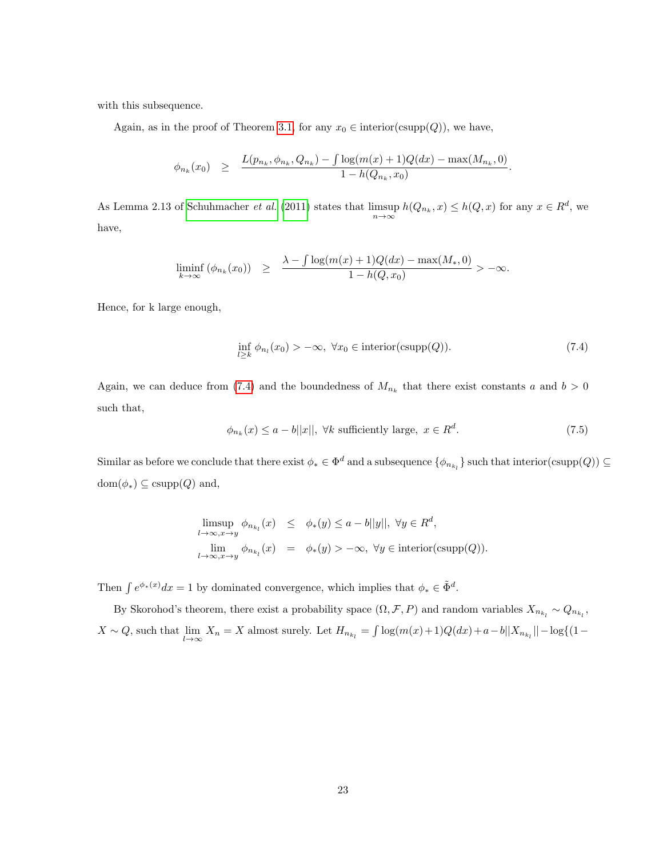with this subsequence.

Again, as in the proof of Theorem [3.1,](#page-6-0) for any  $x_0 \in$  interior(csupp(Q)), we have,

$$
\phi_{n_k}(x_0) \geq \frac{L(p_{n_k}, \phi_{n_k}, Q_{n_k}) - \int \log(m(x) + 1)Q(dx) - \max(M_{n_k}, 0)}{1 - h(Q_{n_k}, x_0)}
$$

As Lemma 2.13 of [Schuhmacher](#page-32-6) *et al.* [\(2011\)](#page-32-6) states that  $\limsup_{n\to\infty} h(Q_{n_k},x) \leq h(Q,x)$  for any  $x \in R^d$ , we have,

$$
\liminf_{k \to \infty} (\phi_{n_k}(x_0)) \ge \frac{\lambda - \int \log(m(x) + 1)Q(dx) - \max(M_*,0)}{1 - h(Q,x_0)} > -\infty.
$$

Hence, for k large enough,

$$
\inf_{l \ge k} \phi_{n_l}(x_0) > -\infty, \ \forall x_0 \in \text{interior}(\text{csupp}(Q)).\tag{7.4}
$$

.

Again, we can deduce from [\(7.4\)](#page-21-0) and the boundedness of  $M_{n_k}$  that there exist constants a and  $b > 0$ such that,

$$
\phi_{n_k}(x) \le a - b||x||, \ \forall k \text{ sufficiently large}, \ x \in R^d. \tag{7.5}
$$

Similar as before we conclude that there exist  $\phi_* \in \Phi^d$  and a subsequence  $\{\phi_{n_{k_l}}\}$  such that interior(csupp(Q))  $\subseteq$  $dom(\phi_*) \subseteq \text{csupp}(Q)$  and,

$$
\limsup_{l \to \infty, x \to y} \phi_{n_{k_l}}(x) \leq \phi_*(y) \leq a - b||y||, \ \forall y \in R^d,
$$
  

$$
\lim_{l \to \infty, x \to y} \phi_{n_{k_l}}(x) = \phi_*(y) > -\infty, \ \forall y \in \text{interior}(\text{csupp}(Q)).
$$

Then  $\int e^{\phi_*(x)}dx = 1$  by dominated convergence, which implies that  $\phi_* \in \tilde{\Phi}^d$ .

By Skorohod's theorem, there exist a probability space  $(\Omega, \mathcal{F}, P)$  and random variables  $X_{n_{k_l}} \sim Q_{n_{k_l}}$ ,  $X \sim Q$ , such that  $\lim_{l \to \infty} X_n = X$  almost surely. Let  $H_{n_{k_l}} = \int \log(m(x) + 1)Q(dx) + a - b||X_{n_{k_l}}|| - \log((1 - \log(x)) - 1)$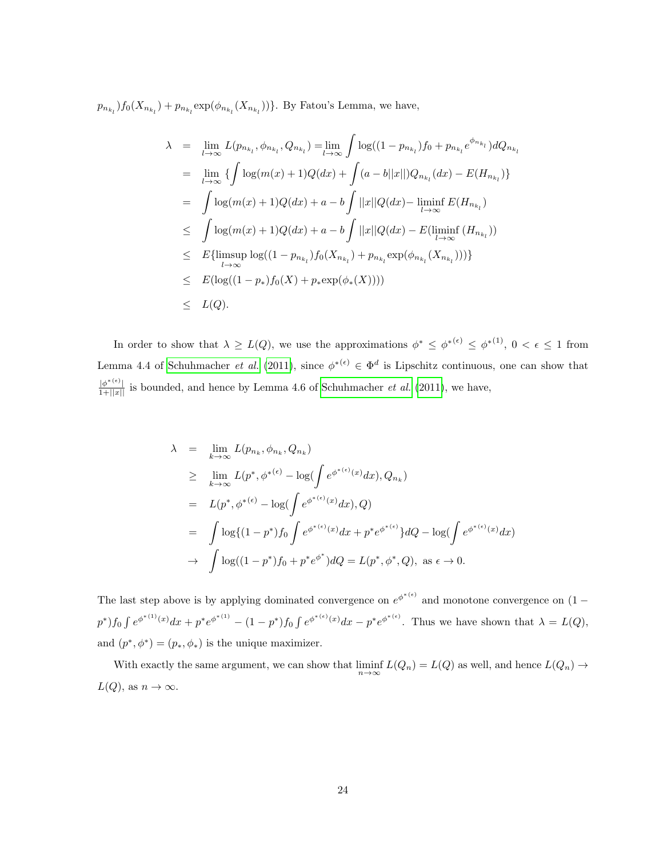$p_{n_{k_l}}$ ) $f_0(X_{n_{k_l}}) + p_{n_{k_l}} \exp(\phi_{n_{k_l}}(X_{n_{k_l}}))\}$ . By Fatou's Lemma, we have,

$$
\lambda = \lim_{l \to \infty} L(p_{n_{k_l}}, \phi_{n_{k_l}}, Q_{n_{k_l}}) = \lim_{l \to \infty} \int \log((1 - p_{n_{k_l}}) f_0 + p_{n_{k_l}} e^{\phi_{n_{k_l}}}) dQ_{n_{k_l}}
$$
  
\n
$$
= \lim_{l \to \infty} \{ \int \log(m(x) + 1)Q(dx) + \int (a - b||x||)Q_{n_{k_l}}(dx) - E(H_{n_{k_l}}) \}
$$
  
\n
$$
= \int \log(m(x) + 1)Q(dx) + a - b \int ||x||Q(dx) - \liminf_{l \to \infty} E(H_{n_{k_l}})
$$
  
\n
$$
\leq \int \log(m(x) + 1)Q(dx) + a - b \int ||x||Q(dx) - E(\liminf_{l \to \infty} (H_{n_{k_l}}))
$$
  
\n
$$
\leq E{\limsup_{l \to \infty} \log((1 - p_{n_{k_l}}) f_0(X_{n_{k_l}}) + p_{n_{k_l}} \exp(\phi_{n_{k_l}}(X_{n_{k_l}}))) }
$$
  
\n
$$
\leq E(\log((1 - p_*) f_0(X) + p_* \exp(\phi_*(X))))
$$
  
\n
$$
\leq L(Q).
$$

In order to show that  $\lambda \geq L(Q)$ , we use the approximations  $\phi^* \leq \phi^{*(\epsilon)} \leq \phi^{*(1)}$ ,  $0 < \epsilon \leq 1$  from Lemma 4.4 of [Schuhmacher](#page-32-6) *et al.* [\(2011\)](#page-32-6), since  $\phi^{*(\epsilon)} \in \Phi^d$  is Lipschitz continuous, one can show that  $\frac{|\phi^{*(\epsilon)}|}{1+||x||}$  is bounded, and hence by Lemma 4.6 of [Schuhmacher](#page-32-6) *et al.* [\(2011\)](#page-32-6), we have,

$$
\lambda = \lim_{k \to \infty} L(p_{n_k}, \phi_{n_k}, Q_{n_k})
$$
\n
$$
\geq \lim_{k \to \infty} L(p^*, \phi^{*(\epsilon)} - \log(\int e^{\phi^{*(\epsilon)}(x)} dx), Q_{n_k})
$$
\n
$$
= L(p^*, \phi^{*(\epsilon)} - \log(\int e^{\phi^{*(\epsilon)}(x)} dx), Q)
$$
\n
$$
= \int \log\{(1 - p^*) f_0 \int e^{\phi^{*(\epsilon)}(x)} dx + p^* e^{\phi^{*(\epsilon)}}\} dQ - \log(\int e^{\phi^{*(\epsilon)}(x)} dx)
$$
\n
$$
\to \int \log((1 - p^*) f_0 + p^* e^{\phi^*}) dQ = L(p^*, \phi^*, Q), \text{ as } \epsilon \to 0.
$$

The last step above is by applying dominated convergence on  $e^{\phi^{*(\epsilon)}}$  and monotone convergence on  $(1$  $p^*$ ) $f_0 \int e^{\phi^{*(1)}(x)} dx + p^* e^{\phi^{*(1)}} - (1 - p^*) f_0 \int e^{\phi^{*(\epsilon)}(x)} dx - p^* e^{\phi^{*(\epsilon)}}$ . Thus we have shown that  $\lambda = L(Q)$ , and  $(p^*, \phi^*) = (p_*, \phi_*)$  is the unique maximizer.

With exactly the same argument, we can show that  $\liminf_{n\to\infty} L(Q_n) = L(Q)$  as well, and hence  $L(Q_n) \to$  $L(Q)$ , as  $n \to \infty$ .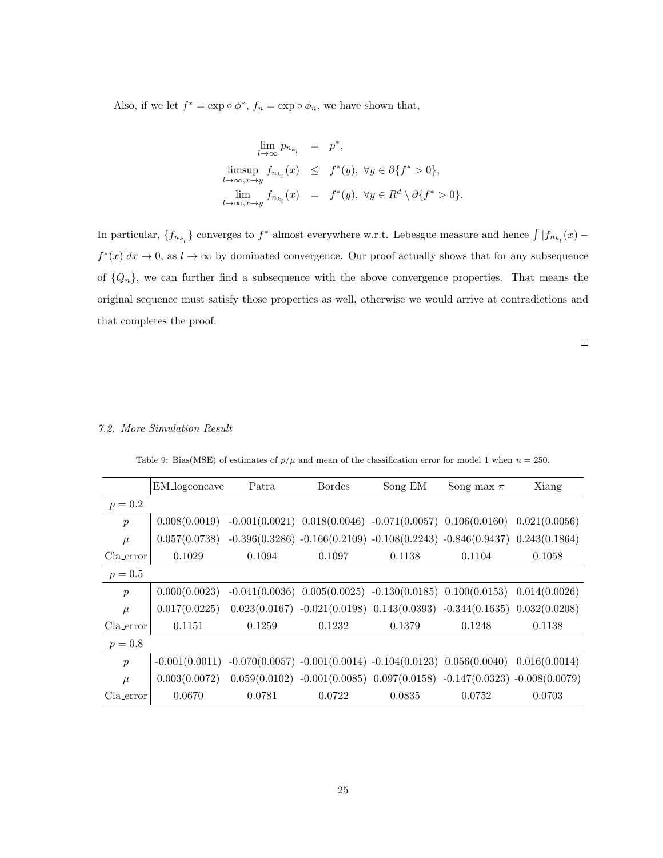Also, if we let  $f^* = \exp \circ \phi^*$ ,  $f_n = \exp \circ \phi_n$ , we have shown that,

$$
\lim_{l \to \infty} p_{n_{k_l}} = p^*,
$$
  
\n
$$
\limsup_{l \to \infty, x \to y} f_{n_{k_l}}(x) \leq f^*(y), \ \forall y \in \partial \{f^* > 0\},
$$
  
\n
$$
\lim_{l \to \infty, x \to y} f_{n_{k_l}}(x) = f^*(y), \ \forall y \in R^d \setminus \partial \{f^* > 0\}.
$$

In particular,  $\{f_{n_{k_l}}\}$  converges to  $f^*$  almost everywhere w.r.t. Lebesgue measure and hence  $\int |f_{n_{k_l}}(x)$  $f^*(x)|dx \to 0$ , as  $l \to \infty$  by dominated convergence. Our proof actually shows that for any subsequence of  $\{Q_n\}$ , we can further find a subsequence with the above convergence properties. That means the original sequence must satisfy those properties as well, otherwise we would arrive at contradictions and that completes the proof.

 $\hfill \square$ 

# 7.2. More Simulation Result

Table 9: Bias(MSE) of estimates of  $p/\mu$  and mean of the classification error for model 1 when  $n = 250$ .

|                       | EM_logconcave    | Patra  | <b>Bordes</b> | Song EM | Song max $\pi$                                                                    | Xiang  |
|-----------------------|------------------|--------|---------------|---------|-----------------------------------------------------------------------------------|--------|
| $p = 0.2$             |                  |        |               |         |                                                                                   |        |
| $\boldsymbol{p}$      | 0.008(0.0019)    |        |               |         | $-0.001(0.0021)$ $0.018(0.0046)$ $-0.071(0.0057)$ $0.106(0.0160)$ $0.021(0.0056)$ |        |
| $\mu$                 | 0.057(0.0738)    |        |               |         | $-0.396(0.3286) -0.166(0.2109) -0.108(0.2243) -0.846(0.9437) -0.243(0.1864)$      |        |
| Cla <sub>-error</sub> | 0.1029           | 0.1094 | 0.1097        | 0.1138  | 0.1104                                                                            | 0.1058 |
| $p = 0.5$             |                  |        |               |         |                                                                                   |        |
| $\boldsymbol{p}$      | 0.000(0.0023)    |        |               |         | $-0.041(0.0036)$ $0.005(0.0025)$ $-0.130(0.0185)$ $0.100(0.0153)$ $0.014(0.0026)$ |        |
| $\mu$                 | 0.017(0.0225)    |        |               |         | $0.023(0.0167) -0.021(0.0198) 0.143(0.0393) -0.344(0.1635) 0.032(0.0208)$         |        |
| Cla_error             | 0.1151           | 0.1259 | 0.1232        | 0.1379  | 0.1248                                                                            | 0.1138 |
| $p = 0.8$             |                  |        |               |         |                                                                                   |        |
| $\boldsymbol{p}$      | $-0.001(0.0011)$ |        |               |         | $-0.070(0.0057) -0.001(0.0014) -0.104(0.0123) -0.056(0.0040) -0.016(0.0014)$      |        |
| $\mu$                 | 0.003(0.0072)    |        |               |         | $0.059(0.0102) -0.001(0.0085) 0.097(0.0158) -0.147(0.0323) -0.008(0.0079)$        |        |
| Cla_error             | 0.0670           | 0.0781 | 0.0722        | 0.0835  | 0.0752                                                                            | 0.0703 |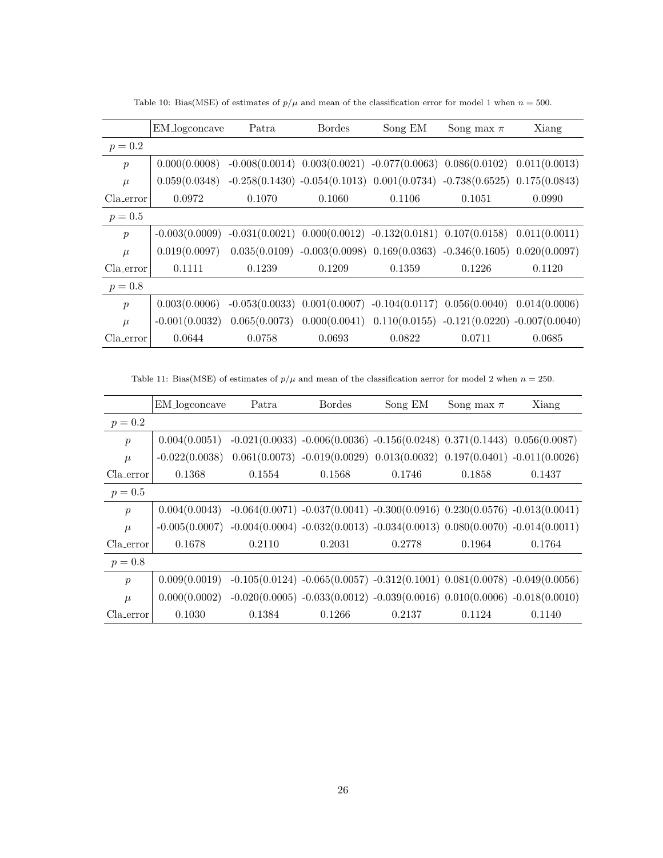|                  | EM_logconcave    | Patra  | <b>Bordes</b>                    | Song EM | Song max $\pi$                                                                    | Xiang  |
|------------------|------------------|--------|----------------------------------|---------|-----------------------------------------------------------------------------------|--------|
| $p = 0.2$        |                  |        |                                  |         |                                                                                   |        |
| $\boldsymbol{p}$ | 0.000(0.0008)    |        |                                  |         | $-0.008(0.0014)$ $0.003(0.0021)$ $-0.077(0.0063)$ $0.086(0.0102)$ $0.011(0.0013)$ |        |
| $\mu$            | 0.059(0.0348)    |        |                                  |         | $-0.258(0.1430) -0.054(0.1013) 0.001(0.0734) -0.738(0.6525) 0.175(0.0843)$        |        |
| Cla_error        | 0.0972           | 0.1070 | 0.1060                           | 0.1106  | 0.1051                                                                            | 0.0990 |
| $p = 0.5$        |                  |        |                                  |         |                                                                                   |        |
| $\mathcal{p}$    | $-0.003(0.0009)$ |        |                                  |         | $-0.031(0.0021)$ $0.000(0.0012)$ $-0.132(0.0181)$ $0.107(0.0158)$ $0.011(0.0011)$ |        |
| $\mu$            | 0.019(0.0097)    |        |                                  |         | $0.035(0.0109) -0.003(0.0098) 0.169(0.0363) -0.346(0.1605) 0.020(0.0097)$         |        |
| Cla_error        | 0.1111           | 0.1239 | 0.1209                           | 0.1359  | 0.1226                                                                            | 0.1120 |
| $p = 0.8$        |                  |        |                                  |         |                                                                                   |        |
| $\boldsymbol{p}$ | 0.003(0.0006)    |        | $-0.053(0.0033)$ $0.001(0.0007)$ |         | $-0.104(0.0117)$ $0.056(0.0040)$ $0.014(0.0006)$                                  |        |
| $\mu$            | $-0.001(0.0032)$ |        |                                  |         | $0.065(0.0073)$ $0.000(0.0041)$ $0.110(0.0155)$ $-0.121(0.0220)$ $-0.007(0.0040)$ |        |
| Cla_error        | 0.0644           | 0.0758 | 0.0693                           | 0.0822  | 0.0711                                                                            | 0.0685 |

Table 10: Bias(MSE) of estimates of  $p/\mu$  and mean of the classification error for model 1 when  $n = 500$ .

Table 11: Bias(MSE) of estimates of  $p/\mu$  and mean of the classification aerror for model 2 when  $n = 250$ .

|                  | EM_logconcave    | Patra  | <b>Bordes</b>                                                               | Song EM | Song max $\pi$ | Xiang                                                                               |
|------------------|------------------|--------|-----------------------------------------------------------------------------|---------|----------------|-------------------------------------------------------------------------------------|
| $p = 0.2$        |                  |        |                                                                             |         |                |                                                                                     |
| $\boldsymbol{p}$ | 0.004(0.0051)    |        | $-0.021(0.0033) -0.006(0.0036) -0.156(0.0248) 0.371(0.1443) 0.056(0.0087)$  |         |                |                                                                                     |
| $\mu$            | $-0.022(0.0038)$ |        |                                                                             |         |                | $0.061(0.0073)$ $-0.019(0.0029)$ $0.013(0.0032)$ $0.197(0.0401)$ $-0.011(0.0026)$   |
| Cla_error        | 0.1368           | 0.1554 | 0.1568                                                                      | 0.1746  | 0.1858         | 0.1437                                                                              |
| $p = 0.5$        |                  |        |                                                                             |         |                |                                                                                     |
| $\boldsymbol{p}$ | 0.004(0.0043)    |        |                                                                             |         |                | $-0.064(0.0071)$ $-0.037(0.0041)$ $-0.300(0.0916)$ $0.230(0.0576)$ $-0.013(0.0041)$ |
| $\mu$            | $-0.005(0.0007)$ |        | $-0.004(0.0004) -0.032(0.0013) -0.034(0.0013) 0.080(0.0070) -0.014(0.0011)$ |         |                |                                                                                     |
| Cla_error        | 0.1678           | 0.2110 | 0.2031                                                                      | 0.2778  | 0.1964         | 0.1764                                                                              |
| $p = 0.8$        |                  |        |                                                                             |         |                |                                                                                     |
| $\boldsymbol{p}$ | 0.009(0.0019)    |        |                                                                             |         |                | $-0.105(0.0124) -0.065(0.0057) -0.312(0.1001) 0.081(0.0078) -0.049(0.0056)$         |
| $\mu$            | 0.000(0.0002)    |        |                                                                             |         |                | $-0.020(0.0005) -0.033(0.0012) -0.039(0.0016) 0.010(0.0006) -0.018(0.0010)$         |
| Cla_error        | 0.1030           | 0.1384 | 0.1266                                                                      | 0.2137  | 0.1124         | 0.1140                                                                              |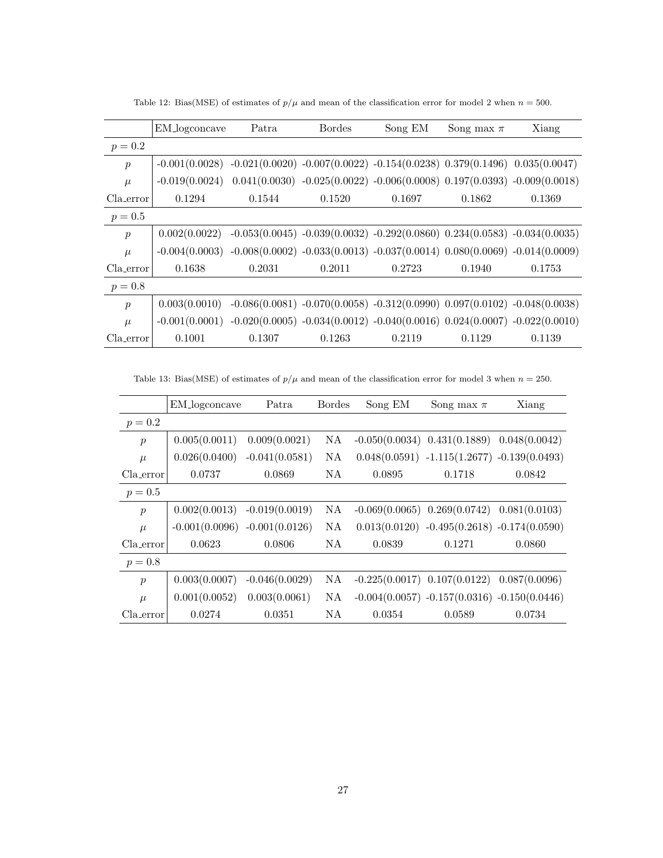Table 12: Bias(MSE) of estimates of  $p/\mu$  and mean of the classification error for model 2 when  $n = 500$ .

|                  | EM_logconcave                                                                                       | Patra  | <b>Bordes</b> | Song EM                                                                     | Song max $\pi$ | Xiang                                                                       |
|------------------|-----------------------------------------------------------------------------------------------------|--------|---------------|-----------------------------------------------------------------------------|----------------|-----------------------------------------------------------------------------|
| $p = 0.2$        |                                                                                                     |        |               |                                                                             |                |                                                                             |
| $\mathcal{p}$    | $-0.001(0.0028)$ $-0.021(0.0020)$ $-0.007(0.0022)$ $-0.154(0.0238)$ $0.379(0.1496)$ $0.035(0.0047)$ |        |               |                                                                             |                |                                                                             |
| $\mu$            | $-0.019(0.0024)$                                                                                    |        |               |                                                                             |                | $0.041(0.0030) -0.025(0.0022) -0.006(0.0008) 0.197(0.0393) -0.009(0.0018)$  |
| Cla_error        | 0.1294                                                                                              | 0.1544 | 0.1520        | 0.1697                                                                      | 0.1862         | 0.1369                                                                      |
| $p = 0.5$        |                                                                                                     |        |               |                                                                             |                |                                                                             |
| $\mathcal{p}$    | 0.002(0.0022)                                                                                       |        |               |                                                                             |                | $-0.053(0.0045) -0.039(0.0032) -0.292(0.0860) 0.234(0.0583) -0.034(0.0035)$ |
| $\mu$            | $-0.004(0.0003)$                                                                                    |        |               | $-0.008(0.0002) -0.033(0.0013) -0.037(0.0014) 0.080(0.0069) -0.014(0.0009)$ |                |                                                                             |
| Cla_error        | 0.1638                                                                                              | 0.2031 | 0.2011        | 0.2723                                                                      | 0.1940         | 0.1753                                                                      |
| $p = 0.8$        |                                                                                                     |        |               |                                                                             |                |                                                                             |
| $\boldsymbol{p}$ | 0.003(0.0010)                                                                                       |        |               |                                                                             |                | $-0.086(0.0081) -0.070(0.0058) -0.312(0.0990) 0.097(0.0102) -0.048(0.0038)$ |
| $\mu$            | $-0.001(0.0001)$                                                                                    |        |               |                                                                             |                | $-0.020(0.0005) -0.034(0.0012) -0.040(0.0016) 0.024(0.0007) -0.022(0.0010)$ |
| Cla_error        | 0.1001                                                                                              | 0.1307 | 0.1263        | 0.2119                                                                      | 0.1129         | 0.1139                                                                      |

Table 13: Bias(MSE) of estimates of  $p/\mu$  and mean of the classification error for model 3 when  $n = 250$ .

|                  | EM_logconcave                   | Patra            | <b>Bordes</b> | Song EM | Song max $\pi$                                   | Xiang         |
|------------------|---------------------------------|------------------|---------------|---------|--------------------------------------------------|---------------|
| $p = 0.2$        |                                 |                  |               |         |                                                  |               |
| $\boldsymbol{p}$ | 0.005(0.0011)                   | 0.009(0.0021)    | NA.           |         | $-0.050(0.0034)$ $0.431(0.1889)$                 | 0.048(0.0042) |
| $\mu$            | 0.026(0.0400)                   | $-0.041(0.0581)$ | NA            |         | $0.048(0.0591) -1.115(1.2677) -0.139(0.0493)$    |               |
| Cla_error        | 0.0737                          | 0.0869           | NA.           | 0.0895  | 0.1718                                           | 0.0842        |
| $p = 0.5$        |                                 |                  |               |         |                                                  |               |
| $\boldsymbol{p}$ | 0.002(0.0013)                   | $-0.019(0.0019)$ | NA.           |         | $-0.069(0.0065)$ $0.269(0.0742)$ $0.081(0.0103)$ |               |
| $\mu$            | $-0.001(0.0096) -0.001(0.0126)$ |                  | NA.           |         | $0.013(0.0120) -0.495(0.2618) -0.174(0.0590)$    |               |
| Cla_error        | 0.0623                          | 0.0806           | NA.           | 0.0839  | 0.1271                                           | 0.0860        |
| $p = 0.8$        |                                 |                  |               |         |                                                  |               |
| $\boldsymbol{p}$ | 0.003(0.0007)                   | $-0.046(0.0029)$ | NA            |         | $-0.225(0.0017)$ $0.107(0.0122)$ $0.087(0.0096)$ |               |
| $\mu$            | 0.001(0.0052)                   | 0.003(0.0061)    | NA            |         | $-0.004(0.0057) -0.157(0.0316) -0.150(0.0446)$   |               |
| Cla_error        | 0.0274                          | 0.0351           | NA            | 0.0354  | 0.0589                                           | 0.0734        |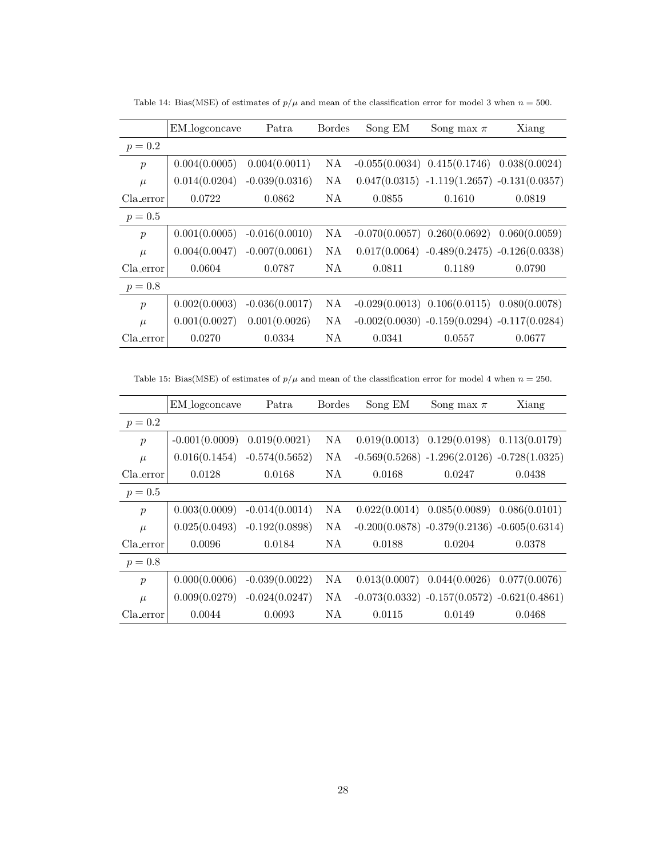|                  | EM_logconcave | Patra            | <b>Bordes</b> | Song EM                           | Song max $\pi$                                 | Xiang         |
|------------------|---------------|------------------|---------------|-----------------------------------|------------------------------------------------|---------------|
| $p = 0.2$        |               |                  |               |                                   |                                                |               |
| $\boldsymbol{p}$ | 0.004(0.0005) | 0.004(0.0011)    | NA.           |                                   | $-0.055(0.0034)$ $0.415(0.1746)$               | 0.038(0.0024) |
| $\mu$            | 0.014(0.0204) | $-0.039(0.0316)$ | NA.           |                                   | $0.047(0.0315) -1.119(1.2657) -0.131(0.0357)$  |               |
| Cla_error        | 0.0722        | 0.0862           | NA            | 0.0855                            | 0.1610                                         | 0.0819        |
| $p = 0.5$        |               |                  |               |                                   |                                                |               |
| $\boldsymbol{p}$ | 0.001(0.0005) | $-0.016(0.0010)$ | NA            | $-0.070(0.0057)$ 0.260 $(0.0692)$ |                                                | 0.060(0.0059) |
| $\mu$            | 0.004(0.0047) | $-0.007(0.0061)$ | NA            |                                   | $0.017(0.0064) -0.489(0.2475) -0.126(0.0338)$  |               |
| Cla_error        | 0.0604        | 0.0787           | NA            | 0.0811                            | 0.1189                                         | 0.0790        |
| $p = 0.8$        |               |                  |               |                                   |                                                |               |
| $\boldsymbol{p}$ | 0.002(0.0003) | $-0.036(0.0017)$ | NA.           |                                   | $-0.029(0.0013)$ $0.106(0.0115)$               | 0.080(0.0078) |
| $\mu$            | 0.001(0.0027) | 0.001(0.0026)    | NA.           |                                   | $-0.002(0.0030) -0.159(0.0294) -0.117(0.0284)$ |               |
| Cla_error        | 0.0270        | 0.0334           | NΑ            | 0.0341                            | 0.0557                                         | 0.0677        |

Table 14: Bias(MSE) of estimates of  $p/\mu$  and mean of the classification error for model 3 when  $n = 500$ .

Table 15: Bias(MSE) of estimates of  $p/\mu$  and mean of the classification error for model 4 when  $n = 250$ .

|                  | EM_logconcave    | Patra            | <b>Bordes</b> | Song EM | Song max $\pi$                                  | Xiang         |
|------------------|------------------|------------------|---------------|---------|-------------------------------------------------|---------------|
| $p = 0.2$        |                  |                  |               |         |                                                 |               |
| $\boldsymbol{p}$ | $-0.001(0.0009)$ | 0.019(0.0021)    | NA            |         | $0.019(0.0013)$ $0.129(0.0198)$ $0.113(0.0179)$ |               |
| $\mu$            | 0.016(0.1454)    | $-0.574(0.5652)$ | NA            |         | $-0.569(0.5268) -1.296(2.0126) -0.728(1.0325)$  |               |
| Cla_error        | 0.0128           | 0.0168           | NA.           | 0.0168  | 0.0247                                          | 0.0438        |
| $p = 0.5$        |                  |                  |               |         |                                                 |               |
| $\boldsymbol{p}$ | 0.003(0.0009)    | $-0.014(0.0014)$ | NA            |         | $0.022(0.0014)$ $0.085(0.0089)$                 | 0.086(0.0101) |
| $\mu$            | 0.025(0.0493)    | $-0.192(0.0898)$ | NA            |         | $-0.200(0.0878) -0.379(0.2136) -0.605(0.6314)$  |               |
| Cla_error        | 0.0096           | 0.0184           | NA.           | 0.0188  | 0.0204                                          | 0.0378        |
| $p = 0.8$        |                  |                  |               |         |                                                 |               |
| $\boldsymbol{p}$ | 0.000(0.0006)    | $-0.039(0.0022)$ | NA            |         | $0.013(0.0007)$ $0.044(0.0026)$ $0.077(0.0076)$ |               |
| $\mu$            | 0.009(0.0279)    | $-0.024(0.0247)$ | NA            |         | $-0.073(0.0332) -0.157(0.0572) -0.621(0.4861)$  |               |
| Cla_error        | 0.0044           | 0.0093           | ΝA            | 0.0115  | 0.0149                                          | 0.0468        |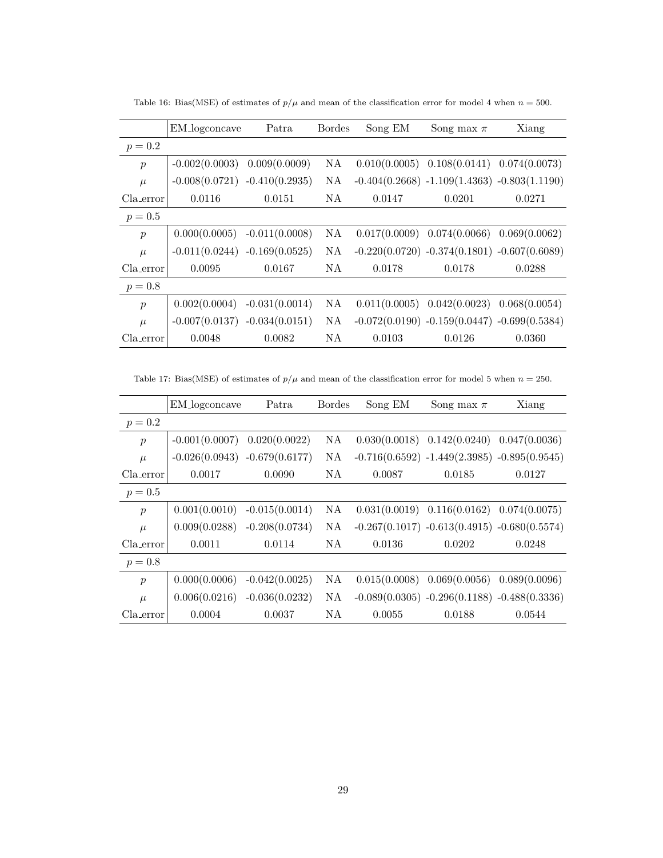|                  | EM_logconcave                   | Patra                           | <b>Bordes</b> | Song EM       | Song max $\pi$                                  | Xiang         |
|------------------|---------------------------------|---------------------------------|---------------|---------------|-------------------------------------------------|---------------|
| $p = 0.2$        |                                 |                                 |               |               |                                                 |               |
| $\boldsymbol{p}$ | $-0.002(0.0003)$                | 0.009(0.0009)                   | NA.           |               | $0.010(0.0005)$ $0.108(0.0141)$ $0.074(0.0073)$ |               |
| $\mu$            |                                 | $-0.008(0.0721) -0.410(0.2935)$ | NA.           |               | $-0.404(0.2668) -1.109(1.4363) -0.803(1.1190)$  |               |
| Cla_error        | 0.0116                          | 0.0151                          | NA.           | 0.0147        | 0.0201                                          | 0.0271        |
| $p = 0.5$        |                                 |                                 |               |               |                                                 |               |
| $\boldsymbol{p}$ | 0.000(0.0005)                   | $-0.011(0.0008)$                | NA.           | 0.017(0.0009) | 0.074(0.0066)                                   | 0.069(0.0062) |
| $\mu$            | $-0.011(0.0244)$                | $-0.169(0.0525)$                | NA.           |               | $-0.220(0.0720) -0.374(0.1801) -0.607(0.6089)$  |               |
| Cla error        | 0.0095                          | 0.0167                          | NA.           | 0.0178        | 0.0178                                          | 0.0288        |
| $p = 0.8$        |                                 |                                 |               |               |                                                 |               |
| $\boldsymbol{p}$ | 0.002(0.0004)                   | $-0.031(0.0014)$                | NA.           | 0.011(0.0005) | 0.042(0.0023)                                   | 0.068(0.0054) |
| $\mu$            | $-0.007(0.0137) -0.034(0.0151)$ |                                 | NA.           |               | $-0.072(0.0190) -0.159(0.0447) -0.699(0.5384)$  |               |
| Cla_error        | 0.0048                          | 0.0082                          | NA            | 0.0103        | 0.0126                                          | 0.0360        |

Table 16: Bias(MSE) of estimates of  $p/\mu$  and mean of the classification error for model 4 when  $n=500$ .

Table 17: Bias(MSE) of estimates of  $p/\mu$  and mean of the classification error for model 5 when  $n = 250$ .

|                  | EM_logconcave    | Patra            | <b>Bordes</b> | Song EM | Song max $\pi$                                  | Xiang         |
|------------------|------------------|------------------|---------------|---------|-------------------------------------------------|---------------|
| $p = 0.2$        |                  |                  |               |         |                                                 |               |
| $\boldsymbol{p}$ | $-0.001(0.0007)$ | 0.020(0.0022)    | NA            |         | $0.030(0.0018)$ $0.142(0.0240)$                 | 0.047(0.0036) |
| $\mu$            | $-0.026(0.0943)$ | $-0.679(0.6177)$ | NA            |         | $-0.716(0.6592) -1.449(2.3985) -0.895(0.9545)$  |               |
| Cla_error        | 0.0017           | 0.0090           | NA.           | 0.0087  | 0.0185                                          | 0.0127        |
| $p = 0.5$        |                  |                  |               |         |                                                 |               |
| $\boldsymbol{p}$ | 0.001(0.0010)    | $-0.015(0.0014)$ | NA            |         | $0.031(0.0019)$ $0.116(0.0162)$ $0.074(0.0075)$ |               |
| $\mu$            | 0.009(0.0288)    | $-0.208(0.0734)$ | NA            |         | $-0.267(0.1017) -0.613(0.4915) -0.680(0.5574)$  |               |
| Cla_error        | 0.0011           | 0.0114           | NA.           | 0.0136  | 0.0202                                          | 0.0248        |
| $p = 0.8$        |                  |                  |               |         |                                                 |               |
| $\boldsymbol{p}$ | 0.000(0.0006)    | $-0.042(0.0025)$ | NA            |         | $0.015(0.0008)$ $0.069(0.0056)$                 | 0.089(0.0096) |
| $\mu$            | 0.006(0.0216)    | $-0.036(0.0232)$ | NA            |         | $-0.089(0.0305) -0.296(0.1188) -0.488(0.3336)$  |               |
| Cla_error        | 0.0004           | 0.0037           | ΝA            | 0.0055  | 0.0188                                          | 0.0544        |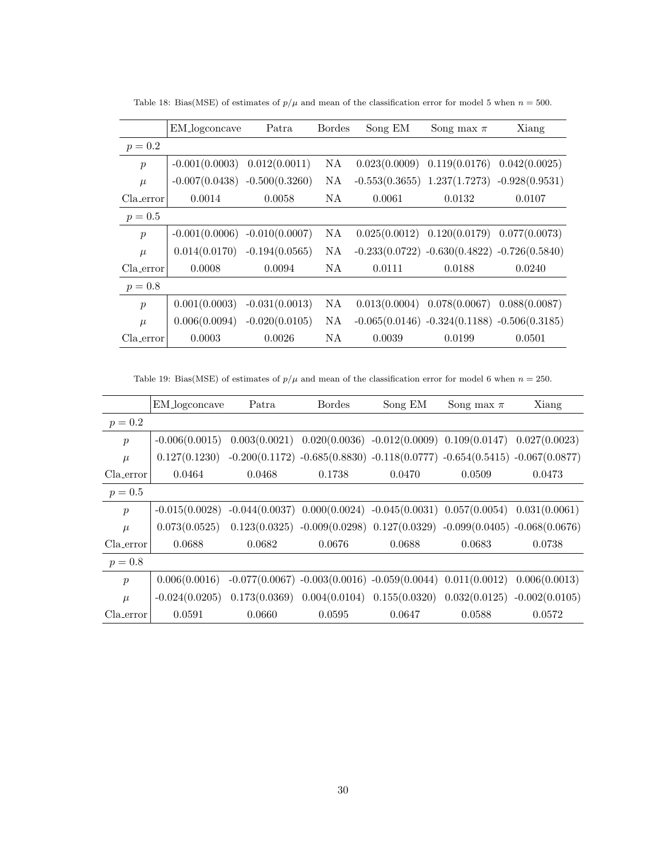|                  | EM_logconcave                   | Patra            | <b>Bordes</b> | Song EM       | Song max $\pi$                                    | Xiang         |
|------------------|---------------------------------|------------------|---------------|---------------|---------------------------------------------------|---------------|
| $p = 0.2$        |                                 |                  |               |               |                                                   |               |
| $\boldsymbol{p}$ | $-0.001(0.0003)$                | 0.012(0.0011)    | NA.           |               | $0.023(0.0009)$ $0.119(0.0176)$                   | 0.042(0.0025) |
| $\mu$            | $-0.007(0.0438) -0.500(0.3260)$ |                  | NA            |               | $-0.553(0.3655)$ $1.237(1.7273)$ $-0.928(0.9531)$ |               |
| Cla_error        | 0.0014                          | 0.0058           | NA.           | 0.0061        | 0.0132                                            | 0.0107        |
| $p = 0.5$        |                                 |                  |               |               |                                                   |               |
| $\boldsymbol{p}$ | $-0.001(0.0006)$                | $-0.010(0.0007)$ | NA            |               | $0.025(0.0012)$ $0.120(0.0179)$                   | 0.077(0.0073) |
| $\mu$            | 0.014(0.0170)                   | $-0.194(0.0565)$ | NA            |               | $-0.233(0.0722) -0.630(0.4822) -0.726(0.5840)$    |               |
| Cla_error        | 0.0008                          | 0.0094           | NA            | 0.0111        | 0.0188                                            | 0.0240        |
| $p = 0.8$        |                                 |                  |               |               |                                                   |               |
| $\boldsymbol{p}$ | 0.001(0.0003)                   | $-0.031(0.0013)$ | NA            | 0.013(0.0004) | 0.078(0.0067)                                     | 0.088(0.0087) |
| $\mu$            | 0.006(0.0094)                   | $-0.020(0.0105)$ | NA.           |               | $-0.065(0.0146) -0.324(0.1188) -0.506(0.3185)$    |               |
| Cla_error        | 0.0003                          | 0.0026           | ΝA            | 0.0039        | 0.0199                                            | 0.0501        |

Table 18: Bias(MSE) of estimates of  $p/\mu$  and mean of the classification error for model 5 when  $n = 500$ .

Table 19: Bias(MSE) of estimates of  $p/\mu$  and mean of the classification error for model 6 when  $n = 250$ .

|                  | EM_logconcave    | Patra  | <b>Bordes</b> | Song EM                                                                              | Song max $\pi$ | Xiang            |
|------------------|------------------|--------|---------------|--------------------------------------------------------------------------------------|----------------|------------------|
| $p = 0.2$        |                  |        |               |                                                                                      |                |                  |
| $\boldsymbol{p}$ | $-0.006(0.0015)$ |        |               | $0.003(0.0021)$ $0.020(0.0036)$ $-0.012(0.0009)$ $0.109(0.0147)$ $0.027(0.0023)$     |                |                  |
| $\mu$            | 0.127(0.1230)    |        |               | $-0.200(0.1172)$ $-0.685(0.8830)$ $-0.118(0.0777)$ $-0.654(0.5415)$ $-0.067(0.0877)$ |                |                  |
| Cla_error        | 0.0464           | 0.0468 | 0.1738        | 0.0470                                                                               | 0.0509         | 0.0473           |
| $p = 0.5$        |                  |        |               |                                                                                      |                |                  |
| $\mathcal{p}$    | $-0.015(0.0028)$ |        |               | $-0.044(0.0037)$ $0.000(0.0024)$ $-0.045(0.0031)$ $0.057(0.0054)$                    |                | 0.031(0.0061)    |
| $\mu$            | 0.073(0.0525)    |        |               | $0.123(0.0325) -0.009(0.0298) 0.127(0.0329) -0.099(0.0405) -0.068(0.0676)$           |                |                  |
| Cla_error        | 0.0688           | 0.0682 | 0.0676        | 0.0688                                                                               | 0.0683         | 0.0738           |
| $p = 0.8$        |                  |        |               |                                                                                      |                |                  |
| $\boldsymbol{p}$ | 0.006(0.0016)    |        |               | $-0.077(0.0067) -0.003(0.0016) -0.059(0.0044) 0.011(0.0012)$                         |                | 0.006(0.0013)    |
| $\mu$            | $-0.024(0.0205)$ |        |               | $0.173(0.0369)$ $0.004(0.0104)$ $0.155(0.0320)$                                      | 0.032(0.0125)  | $-0.002(0.0105)$ |
| Cla_error        | 0.0591           | 0.0660 | 0.0595        | 0.0647                                                                               | 0.0588         | 0.0572           |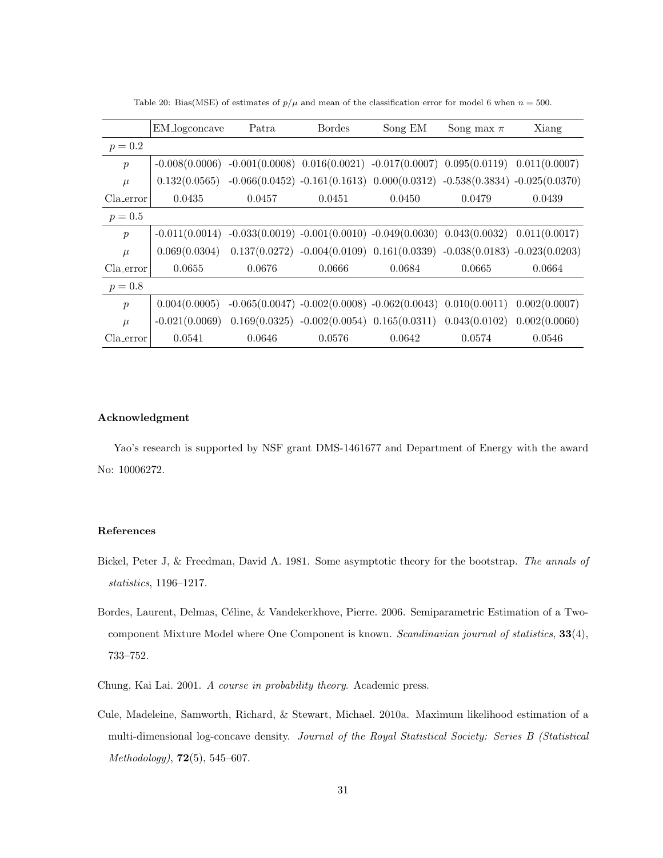|                  | EM_logconcave    | Patra  | Bordes                                                                            | Song EM | Song max $\pi$ | Xiang         |
|------------------|------------------|--------|-----------------------------------------------------------------------------------|---------|----------------|---------------|
| $p = 0.2$        |                  |        |                                                                                   |         |                |               |
| $\boldsymbol{p}$ | $-0.008(0.0006)$ |        | $-0.001(0.0008)$ $0.016(0.0021)$ $-0.017(0.0007)$ $0.095(0.0119)$ $0.011(0.0007)$ |         |                |               |
| $\mu$            | 0.132(0.0565)    |        | $-0.066(0.0452) -0.161(0.1613) 0.000(0.0312) -0.538(0.3834) -0.025(0.0370)$       |         |                |               |
| Cla_error        | 0.0435           | 0.0457 | 0.0451                                                                            | 0.0450  | 0.0479         | 0.0439        |
| $p = 0.5$        |                  |        |                                                                                   |         |                |               |
| $\boldsymbol{p}$ | $-0.011(0.0014)$ |        | $-0.033(0.0019) -0.001(0.0010) -0.049(0.0030) 0.043(0.0032) 0.011(0.0017)$        |         |                |               |
| $\mu$            | 0.069(0.0304)    |        | $0.137(0.0272) -0.004(0.0109) 0.161(0.0339) -0.038(0.0183) -0.023(0.0203)$        |         |                |               |
| Cla_error        | 0.0655           | 0.0676 | 0.0666                                                                            | 0.0684  | 0.0665         | 0.0664        |
| $p = 0.8$        |                  |        |                                                                                   |         |                |               |
| $\boldsymbol{p}$ | 0.004(0.0005)    |        | $-0.065(0.0047) -0.002(0.0008) -0.062(0.0043) 0.010(0.0011)$                      |         |                | 0.002(0.0007) |
| $\mu$            | $-0.021(0.0069)$ |        | $0.169(0.0325) -0.002(0.0054) 0.165(0.0311) 0.043(0.0102) 0.002(0.0060)$          |         |                |               |
| Cla_error        | 0.0541           | 0.0646 | 0.0576                                                                            | 0.0642  | 0.0574         | 0.0546        |

Table 20: Bias(MSE) of estimates of  $p/\mu$  and mean of the classification error for model 6 when  $n = 500$ .

## Acknowledgment

Yao's research is supported by NSF grant DMS-1461677 and Department of Energy with the award No: 10006272.

## References

- <span id="page-30-2"></span>Bickel, Peter J, & Freedman, David A. 1981. Some asymptotic theory for the bootstrap. The annals of statistics, 1196–1217.
- <span id="page-30-0"></span>Bordes, Laurent, Delmas, Céline, & Vandekerkhove, Pierre. 2006. Semiparametric Estimation of a Twocomponent Mixture Model where One Component is known. Scandinavian journal of statistics, 33(4), 733–752.
- <span id="page-30-3"></span>Chung, Kai Lai. 2001. A course in probability theory. Academic press.
- <span id="page-30-1"></span>Cule, Madeleine, Samworth, Richard, & Stewart, Michael. 2010a. Maximum likelihood estimation of a multi-dimensional log-concave density. Journal of the Royal Statistical Society: Series B (Statistical Methodology), 72(5), 545–607.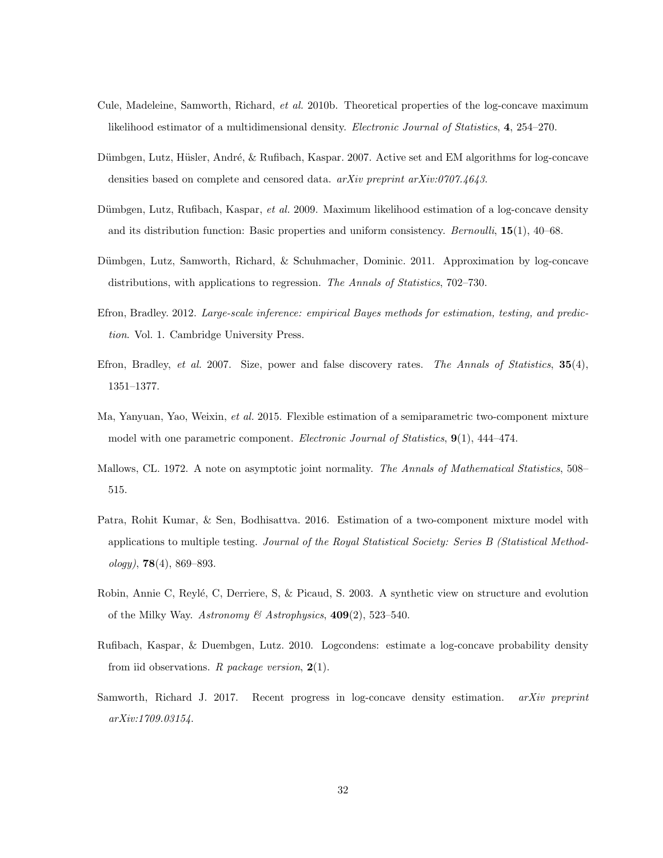- <span id="page-31-11"></span>Cule, Madeleine, Samworth, Richard, et al. 2010b. Theoretical properties of the log-concave maximum likelihood estimator of a multidimensional density. Electronic Journal of Statistics, 4, 254–270.
- <span id="page-31-5"></span>Dümbgen, Lutz, Hüsler, André, & Rufibach, Kaspar. 2007. Active set and EM algorithms for log-concave densities based on complete and censored data. arXiv preprint arXiv:0707.4643.
- <span id="page-31-3"></span>Dümbgen, Lutz, Rufibach, Kaspar, et al. 2009. Maximum likelihood estimation of a log-concave density and its distribution function: Basic properties and uniform consistency. *Bernoulli*,  $15(1)$ ,  $40-68$ .
- <span id="page-31-4"></span>Dümbgen, Lutz, Samworth, Richard, & Schuhmacher, Dominic. 2011. Approximation by log-concave distributions, with applications to regression. The Annals of Statistics, 702–730.
- <span id="page-31-8"></span>Efron, Bradley. 2012. Large-scale inference: empirical Bayes methods for estimation, testing, and prediction. Vol. 1. Cambridge University Press.
- <span id="page-31-9"></span>Efron, Bradley, et al. 2007. Size, power and false discovery rates. The Annals of Statistics,  $35(4)$ , 1351–1377.
- <span id="page-31-1"></span>Ma, Yanyuan, Yao, Weixin, et al. 2015. Flexible estimation of a semiparametric two-component mixture model with one parametric component. Electronic Journal of Statistics, 9(1), 444–474.
- <span id="page-31-7"></span>Mallows, CL. 1972. A note on asymptotic joint normality. The Annals of Mathematical Statistics, 508– 515.
- <span id="page-31-0"></span>Patra, Rohit Kumar, & Sen, Bodhisattva. 2016. Estimation of a two-component mixture model with applications to multiple testing. Journal of the Royal Statistical Society: Series B (Statistical Method $ology$ , 78(4), 869–893.
- <span id="page-31-10"></span>Robin, Annie C, Reylé, C, Derriere, S, & Picaud, S. 2003. A synthetic view on structure and evolution of the Milky Way. Astronomy & Astrophysics,  $409(2)$ , 523–540.
- <span id="page-31-6"></span>Rufibach, Kaspar, & Duembgen, Lutz. 2010. Logcondens: estimate a log-concave probability density from iid observations. R package version,  $2(1)$ .
- <span id="page-31-2"></span>Samworth, Richard J. 2017. Recent progress in log-concave density estimation. arXiv preprint arXiv:1709.03154.